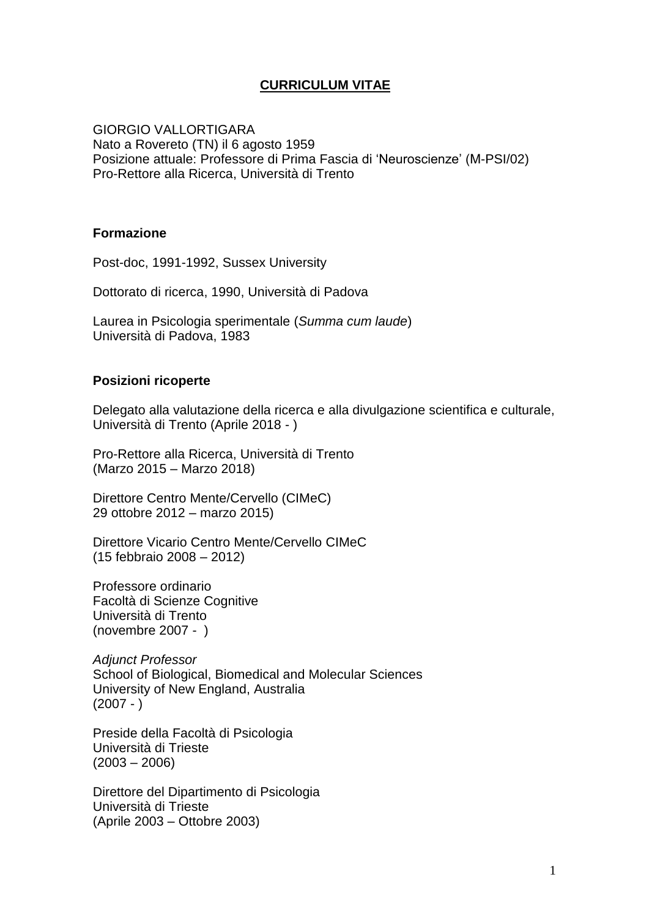### **CURRICULUM VITAE**

#### GIORGIO VALLORTIGARA Nato a Rovereto (TN) il 6 agosto 1959 Posizione attuale: Professore di Prima Fascia di 'Neuroscienze' (M-PSI/02) Pro-Rettore alla Ricerca, Università di Trento

#### **Formazione**

Post-doc, 1991-1992, Sussex University

Dottorato di ricerca, 1990, Università di Padova

Laurea in Psicologia sperimentale (*Summa cum laude*) Università di Padova, 1983

#### **Posizioni ricoperte**

Delegato alla valutazione della ricerca e alla divulgazione scientifica e culturale, Università di Trento (Aprile 2018 - )

Pro-Rettore alla Ricerca, Università di Trento (Marzo 2015 – Marzo 2018)

Direttore Centro Mente/Cervello (CIMeC) 29 ottobre 2012 – marzo 2015)

Direttore Vicario Centro Mente/Cervello CIMeC (15 febbraio 2008 – 2012)

Professore ordinario Facoltà di Scienze Cognitive Università di Trento (novembre 2007 - )

*Adjunct Professor* School of Biological, Biomedical and Molecular Sciences University of New England, Australia  $(2007 - )$ 

Preside della Facoltà di Psicologia Università di Trieste  $(2003 - 2006)$ 

Direttore del Dipartimento di Psicologia Università di Trieste (Aprile 2003 – Ottobre 2003)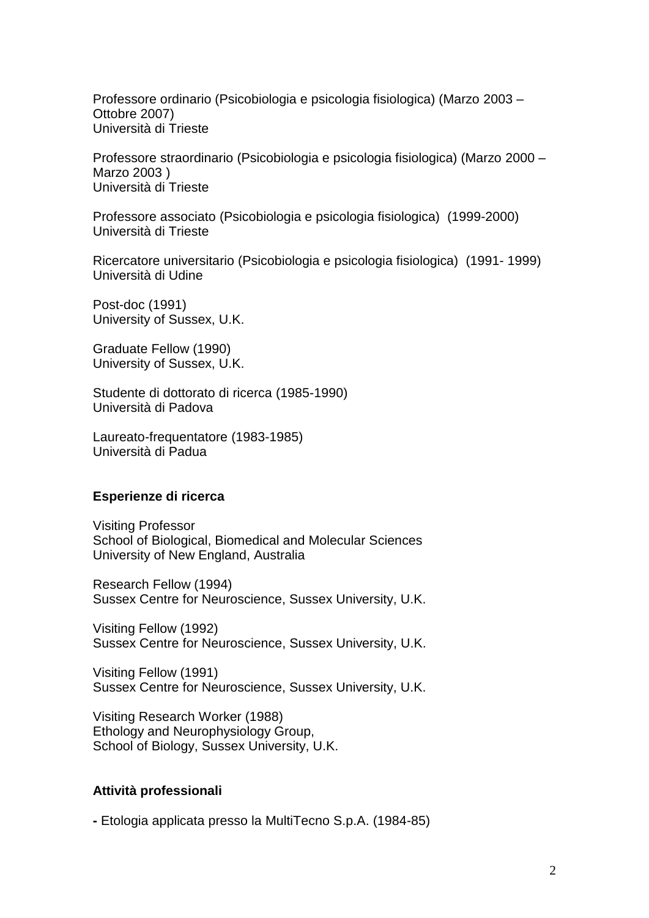Professore ordinario (Psicobiologia e psicologia fisiologica) (Marzo 2003 – Ottobre 2007) Università di Trieste

Professore straordinario (Psicobiologia e psicologia fisiologica) (Marzo 2000 – Marzo 2003 ) Università di Trieste

Professore associato (Psicobiologia e psicologia fisiologica) (1999-2000) Università di Trieste

Ricercatore universitario (Psicobiologia e psicologia fisiologica) (1991- 1999) Università di Udine

Post-doc (1991) University of Sussex, U.K.

Graduate Fellow (1990) University of Sussex, U.K.

Studente di dottorato di ricerca (1985-1990) Università di Padova

Laureato-frequentatore (1983-1985) Università di Padua

#### **Esperienze di ricerca**

Visiting Professor School of Biological, Biomedical and Molecular Sciences University of New England, Australia

Research Fellow (1994) Sussex Centre for Neuroscience, Sussex University, U.K.

Visiting Fellow (1992) Sussex Centre for Neuroscience, Sussex University, U.K.

Visiting Fellow (1991) Sussex Centre for Neuroscience, Sussex University, U.K.

Visiting Research Worker (1988) Ethology and Neurophysiology Group, School of Biology, Sussex University, U.K.

#### **Attività professionali**

**-** Etologia applicata presso la MultiTecno S.p.A. (1984-85)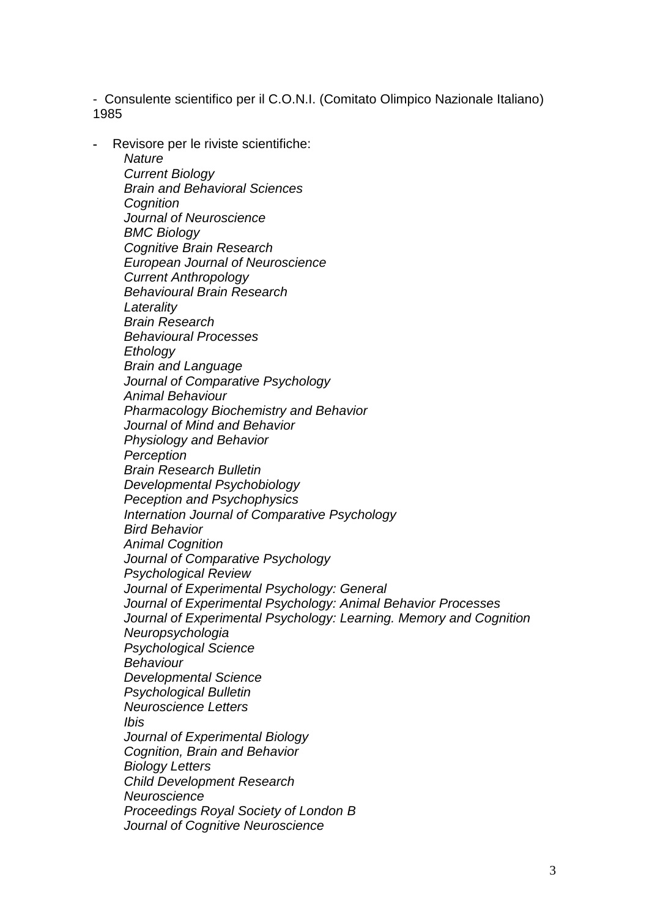- Consulente scientifico per il C.O.N.I. (Comitato Olimpico Nazionale Italiano) 1985

**-** Revisore per le riviste scientifiche: *Nature Current Biology Brain and Behavioral Sciences Cognition Journal of Neuroscience BMC Biology Cognitive Brain Research European Journal of Neuroscience Current Anthropology Behavioural Brain Research Laterality Brain Research Behavioural Processes Ethology Brain and Language Journal of Comparative Psychology Animal Behaviour Pharmacology Biochemistry and Behavior Journal of Mind and Behavior Physiology and Behavior Perception Brain Research Bulletin Developmental Psychobiology Peception and Psychophysics Internation Journal of Comparative Psychology Bird Behavior Animal Cognition Journal of Comparative Psychology Psychological Review Journal of Experimental Psychology: General Journal of Experimental Psychology: Animal Behavior Processes Journal of Experimental Psychology: Learning. Memory and Cognition Neuropsychologia Psychological Science Behaviour Developmental Science Psychological Bulletin Neuroscience Letters Ibis Journal of Experimental Biology Cognition, Brain and Behavior Biology Letters Child Development Research Neuroscience Proceedings Royal Society of London B Journal of Cognitive Neuroscience*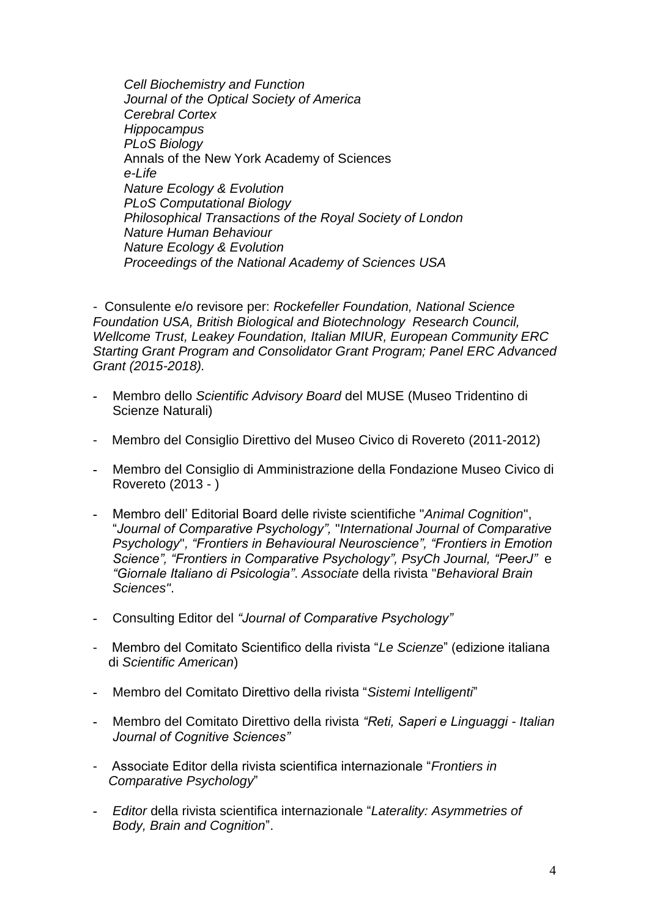*Cell Biochemistry and Function Journal of the Optical Society of America Cerebral Cortex Hippocampus PLoS Biology* Annals of the New York Academy of Sciences *e-Life Nature Ecology & Evolution PLoS Computational Biology Philosophical Transactions of the Royal Society of London Nature Human Behaviour Nature Ecology & Evolution Proceedings of the National Academy of Sciences USA*

*-* Consulente e/o revisore per: *Rockefeller Foundation, National Science Foundation USA, British Biological and Biotechnology Research Council, Wellcome Trust, Leakey Foundation, Italian MIUR, European Community ERC Starting Grant Program and Consolidator Grant Program; Panel ERC Advanced Grant (2015-2018).*

- **-** Membro dello *Scientific Advisory Board* del MUSE (Museo Tridentino di Scienze Naturali)
- Membro del Consiglio Direttivo del Museo Civico di Rovereto (2011-2012)
- **-** Membro del Consiglio di Amministrazione della Fondazione Museo Civico di Rovereto (2013 - )
- **-** Membro dell' Editorial Board delle riviste scientifiche "*Animal Cognition*", "*Journal of Comparative Psychology",* "*International Journal of Comparative Psychology*"*, "Frontiers in Behavioural Neuroscience", "Frontiers in Emotion Science", "Frontiers in Comparative Psychology", PsyCh Journal, "PeerJ"* e *"Giornale Italiano di Psicologia"*. *Associate* della rivista "*Behavioral Brain Sciences"*.
- **-** Consulting Editor del *"Journal of Comparative Psychology"*
- Membro del Comitato Scientifico della rivista "*Le Scienze*" (edizione italiana di *Scientific American*)
- **-** Membro del Comitato Direttivo della rivista "*Sistemi Intelligenti*"
- **-** Membro del Comitato Direttivo della rivista *"Reti, Saperi e Linguaggi - Italian Journal of Cognitive Sciences"*
- Associate Editor della rivista scientifica internazionale "*Frontiers in Comparative Psychology*"
- **-** *Editor* della rivista scientifica internazionale "*Laterality: Asymmetries of Body, Brain and Cognition*".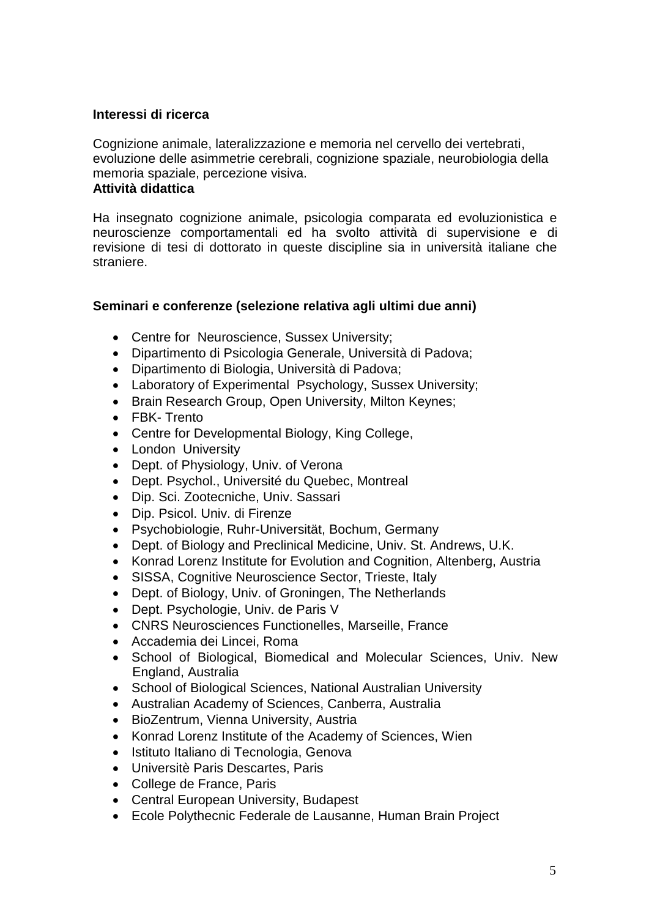### **Interessi di ricerca**

Cognizione animale, lateralizzazione e memoria nel cervello dei vertebrati, evoluzione delle asimmetrie cerebrali, cognizione spaziale, neurobiologia della memoria spaziale, percezione visiva.

### **Attività didattica**

Ha insegnato cognizione animale, psicologia comparata ed evoluzionistica e neuroscienze comportamentali ed ha svolto attività di supervisione e di revisione di tesi di dottorato in queste discipline sia in università italiane che straniere.

### **Seminari e conferenze (selezione relativa agli ultimi due anni)**

- Centre for Neuroscience, Sussex University;
- Dipartimento di Psicologia Generale, Università di Padova;
- Dipartimento di Biologia, Università di Padova;
- Laboratory of Experimental Psychology, Sussex University;
- Brain Research Group, Open University, Milton Keynes;
- FBK- Trento
- Centre for Developmental Biology, King College,
- London University
- Dept. of Physiology, Univ. of Verona
- Dept. Psychol., Université du Quebec, Montreal
- Dip. Sci. Zootecniche, Univ. Sassari
- Dip. Psicol. Univ. di Firenze
- Psychobiologie, Ruhr-Universität, Bochum, Germany
- Dept. of Biology and Preclinical Medicine, Univ. St. Andrews, U.K.
- Konrad Lorenz Institute for Evolution and Cognition, Altenberg, Austria
- SISSA, Cognitive Neuroscience Sector, Trieste, Italy
- Dept. of Biology, Univ. of Groningen, The Netherlands
- Dept. Psychologie, Univ. de Paris V
- CNRS Neurosciences Functionelles, Marseille, France
- Accademia dei Lincei, Roma
- School of Biological, Biomedical and Molecular Sciences, Univ. New England, Australia
- School of Biological Sciences, National Australian University
- Australian Academy of Sciences, Canberra, Australia
- BioZentrum, Vienna University, Austria
- Konrad Lorenz Institute of the Academy of Sciences, Wien
- **•** Istituto Italiano di Tecnologia, Genova
- Universitè Paris Descartes, Paris
- College de France, Paris
- Central European University, Budapest
- Ecole Polythecnic Federale de Lausanne, Human Brain Project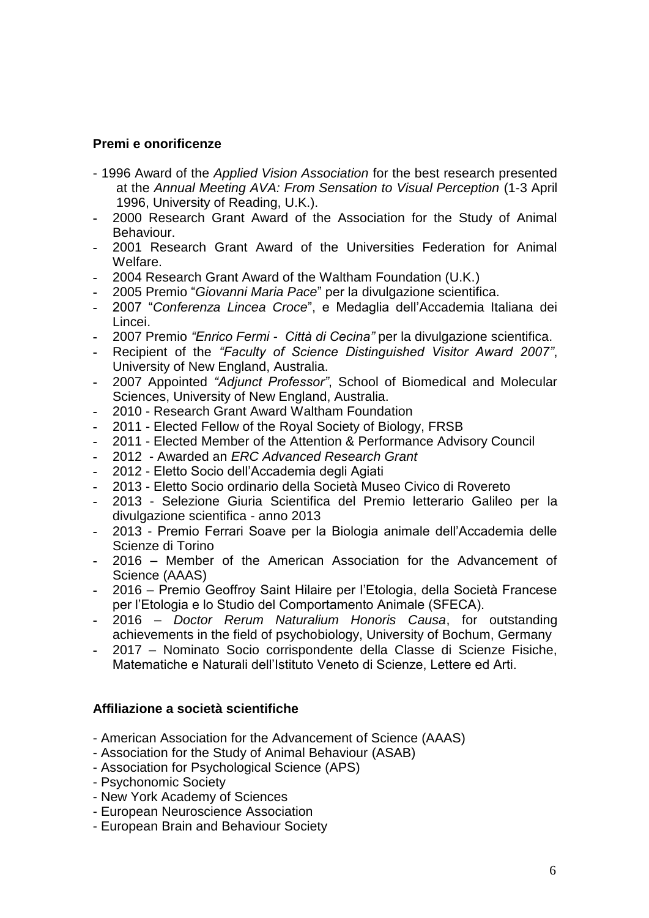#### **Premi e onorificenze**

- 1996 Award of the *Applied Vision Association* for the best research presented at the *Annual Meeting AVA: From Sensation to Visual Perception* (1-3 April 1996, University of Reading, U.K.).
- **-** 2000 Research Grant Award of the Association for the Study of Animal Behaviour.
- **-** 2001 Research Grant Award of the Universities Federation for Animal Welfare.
- **-** 2004 Research Grant Award of the Waltham Foundation (U.K.)
- **-** 2005 Premio "*Giovanni Maria Pace*" per la divulgazione scientifica.
- **-** 2007 "*Conferenza Lincea Croce*", e Medaglia dell'Accademia Italiana dei Lincei.
- **-** 2007 Premio *"Enrico Fermi Città di Cecina"* per la divulgazione scientifica.
- **-** Recipient of the *"Faculty of Science Distinguished Visitor Award 2007"*, University of New England, Australia.
- **-** 2007 Appointed *"Adjunct Professor"*, School of Biomedical and Molecular Sciences, University of New England, Australia.
- **-** 2010 Research Grant Award Waltham Foundation
- **-** 2011 Elected Fellow of the Royal Society of Biology, FRSB
- **-** 2011 Elected Member of the Attention & Performance Advisory Council
- **-** 2012 Awarded an *ERC Advanced Research Grant*
- **-** 2012 Eletto Socio dell'Accademia degli Agiati
- **-** 2013 Eletto Socio ordinario della Società Museo Civico di Rovereto
- **-** 2013 Selezione Giuria Scientifica del Premio letterario Galileo per la divulgazione scientifica - anno 2013
- **-** 2013 Premio Ferrari Soave per la Biologia animale dell'Accademia delle Scienze di Torino
- **-** 2016 Member of the American Association for the Advancement of Science (AAAS)
- **-** 2016 Premio Geoffroy Saint Hilaire per l'Etologia, della Società Francese per l'Etologia e lo Studio del Comportamento Animale (SFECA).
- **-** 2016 *Doctor Rerum Naturalium Honoris Causa*, for outstanding achievements in the field of psychobiology, University of Bochum, Germany
- **-** 2017 Nominato Socio corrispondente della Classe di Scienze Fisiche, Matematiche e Naturali dell'Istituto Veneto di Scienze, Lettere ed Arti.

## **Affiliazione a società scientifiche**

- American Association for the Advancement of Science (AAAS)
- Association for the Study of Animal Behaviour (ASAB)
- Association for Psychological Science (APS)
- Psychonomic Society
- New York Academy of Sciences
- European Neuroscience Association
- European Brain and Behaviour Society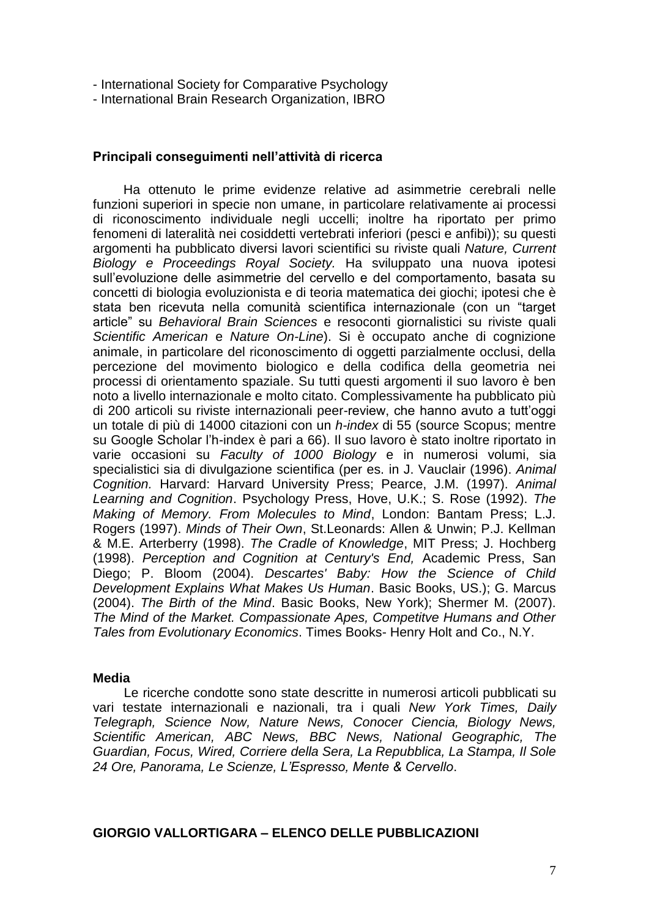- International Society for Comparative Psychology
- International Brain Research Organization, IBRO

#### **Principali conseguimenti nell'attività di ricerca**

Ha ottenuto le prime evidenze relative ad asimmetrie cerebrali nelle funzioni superiori in specie non umane, in particolare relativamente ai processi di riconoscimento individuale negli uccelli; inoltre ha riportato per primo fenomeni di lateralità nei cosiddetti vertebrati inferiori (pesci e anfibi)); su questi argomenti ha pubblicato diversi lavori scientifici su riviste quali *Nature, Current Biology e Proceedings Royal Society.* Ha sviluppato una nuova ipotesi sull'evoluzione delle asimmetrie del cervello e del comportamento, basata su concetti di biologia evoluzionista e di teoria matematica dei giochi; ipotesi che è stata ben ricevuta nella comunità scientifica internazionale (con un "target article" su *Behavioral Brain Sciences* e resoconti giornalistici su riviste quali *Scientific American* e *Nature On-Line*). Si è occupato anche di cognizione animale, in particolare del riconoscimento di oggetti parzialmente occlusi, della percezione del movimento biologico e della codifica della geometria nei processi di orientamento spaziale. Su tutti questi argomenti il suo lavoro è ben noto a livello internazionale e molto citato. Complessivamente ha pubblicato più di 200 articoli su riviste internazionali peer-review, che hanno avuto a tutt'oggi un totale di più di 14000 citazioni con un *h-index* di 55 (source Scopus; mentre su Google Scholar l'h-index è pari a 66). Il suo lavoro è stato inoltre riportato in varie occasioni su *Faculty of 1000 Biology* e in numerosi volumi, sia specialistici sia di divulgazione scientifica (per es. in J. Vauclair (1996). *Animal Cognition.* Harvard: Harvard University Press; Pearce, J.M. (1997). *Animal Learning and Cognition*. Psychology Press, Hove, U.K.; S. Rose (1992). *The Making of Memory. From Molecules to Mind*, London: Bantam Press; L.J. Rogers (1997). *Minds of Their Own*, St.Leonards: Allen & Unwin; P.J. Kellman & M.E. Arterberry (1998). *The Cradle of Knowledge*, MIT Press; J. Hochberg (1998). *Perception and Cognition at Century's End,* Academic Press, San Diego; P. Bloom (2004). *Descartes' Baby: How the Science of Child Development Explains What Makes Us Human*. Basic Books, US.); G. Marcus (2004). *The Birth of the Mind*. Basic Books, New York); Shermer M. (2007). *The Mind of the Market. Compassionate Apes, Competitve Humans and Other Tales from Evolutionary Economics*. Times Books- Henry Holt and Co., N.Y.

#### **Media**

Le ricerche condotte sono state descritte in numerosi articoli pubblicati su vari testate internazionali e nazionali, tra i quali *New York Times, Daily Telegraph, Science Now, Nature News, Conocer Ciencia, Biology News, Scientific American, ABC News, BBC News, National Geographic, The Guardian, Focus, Wired, Corriere della Sera, La Repubblica, La Stampa, Il Sole 24 Ore, Panorama, Le Scienze, L'Espresso, Mente & Cervello*.

#### **GIORGIO VALLORTIGARA – ELENCO DELLE PUBBLICAZIONI**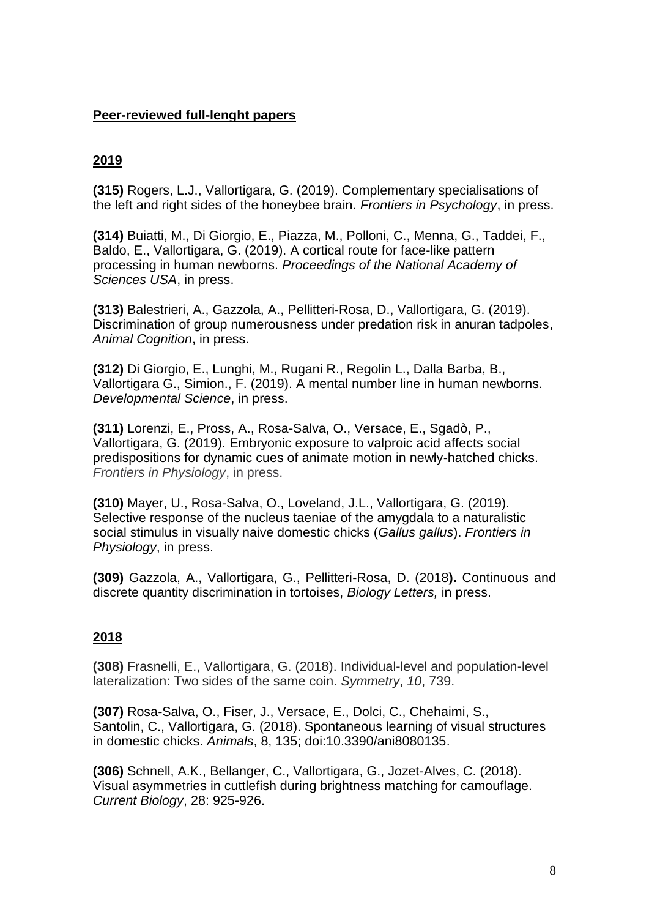### **Peer-reviewed full-lenght papers**

# **2019**

**(315)** Rogers, L.J., Vallortigara, G. (2019). [Complementary specialisations of](http://www.frontiersin.org/Journal/Abstract.aspx?d=0&name=Comparative_Psychology&ART_DOI=10.3389/fpsyg.2019.00280)  [the left and right sides of the honeybee brain.](http://www.frontiersin.org/Journal/Abstract.aspx?d=0&name=Comparative_Psychology&ART_DOI=10.3389/fpsyg.2019.00280) *Frontiers in Psychology*, in press.

**(314)** Buiatti, M., Di Giorgio, E., Piazza, M., Polloni, C., Menna, G., Taddei, F., Baldo, E., Vallortigara, G. (2019). A cortical route for face-like pattern processing in human newborns. *Proceedings of the National Academy of Sciences USA*, in press.

**(313)** Balestrieri, A., Gazzola, A., Pellitteri-Rosa, D., Vallortigara, G. (2019). Discrimination of group numerousness under predation risk in anuran tadpoles, *Animal Cognition*, in press.

**(312)** Di Giorgio, E., Lunghi, M., Rugani R., Regolin L., Dalla Barba, B., Vallortigara G., Simion., F. (2019). A mental number line in human newborns. *Developmental Science*, in press.

**(311)** Lorenzi, E., Pross, A., Rosa-Salva, O., Versace, E., Sgadò, P., Vallortigara, G. (2019). Embryonic exposure to valproic acid affects social predispositions for dynamic cues of animate motion in newly-hatched chicks. *Frontiers in Physiology*, in press.

**(310)** Mayer, U., Rosa-Salva, O., Loveland, J.L., Vallortigara, G. (2019). Selective response of the nucleus taeniae of the amygdala to a naturalistic social stimulus in visually naive domestic chicks (*Gallus gallus*). *Frontiers in Physiology*, in press.

**(309)** Gazzola, A., Vallortigara, G., Pellitteri-Rosa, D. (2018**).** Continuous and discrete quantity discrimination in tortoises, *Biology Letters,* in press.

## **2018**

**(308)** Frasnelli, E., Vallortigara, G. (2018). Individual-level and population-level lateralization: Two sides of the same coin. *Symmetry*, *10*, 739.

**(307)** Rosa-Salva, O., Fiser, J., Versace, E., Dolci, C., Chehaimi, S., Santolin, C., Vallortigara, G. (2018). Spontaneous learning of visual structures in domestic chicks. *Animals*, 8, 135; doi:10.3390/ani8080135.

**(306)** Schnell, A.K., Bellanger, C., Vallortigara, G., Jozet-Alves, C. (2018). Visual asymmetries in cuttlefish during brightness matching for camouflage. *Current Biology*, 28: 925-926.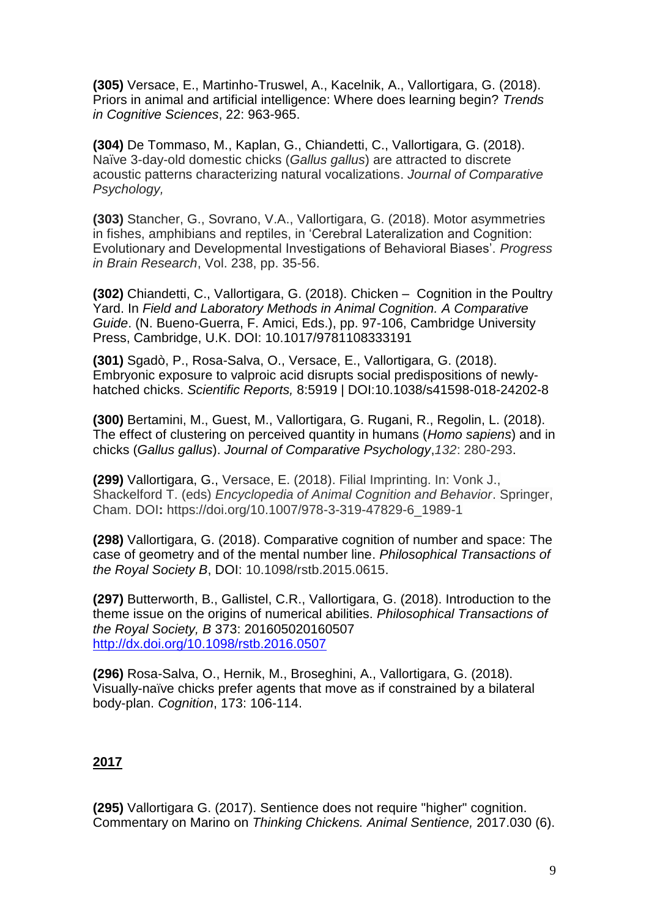**(305)** Versace, E., Martinho-Truswel, A., Kacelnik, A., Vallortigara, G. (2018). Priors in animal and artificial intelligence: Where does learning begin? *Trends in Cognitive Sciences*, 22: 963-965.

**(304)** De Tommaso, M., Kaplan, G., Chiandetti, C., Vallortigara, G. (2018). Naïve 3-day-old domestic chicks (*Gallus gallus*) are attracted to discrete acoustic patterns characterizing natural vocalizations. *Journal of Comparative Psychology,*

**(303)** Stancher, G., Sovrano, V.A., Vallortigara, G. (2018). Motor asymmetries in fishes, amphibians and reptiles, in 'Cerebral Lateralization and Cognition: Evolutionary and Developmental Investigations of Behavioral Biases'. *Progress in Brain Research*, Vol. 238, pp. 35-56.

**(302)** Chiandetti, C., Vallortigara, G. (2018). Chicken – Cognition in the Poultry Yard. In *Field and Laboratory Methods in Animal Cognition. A Comparative Guide*. (N. Bueno-Guerra, F. Amici, Eds.), pp. 97-106, Cambridge University Press, Cambridge, U.K. DOI: 10.1017/9781108333191

**(301)** Sgadò, P., Rosa-Salva, O., Versace, E., Vallortigara, G. (2018). Embryonic exposure to valproic acid disrupts social predispositions of newlyhatched chicks. *Scientific Reports,* 8:5919 | DOI:10.1038/s41598-018-24202-8

**(300)** Bertamini, M., Guest, M., Vallortigara, G. Rugani, R., Regolin, L. (2018). The effect of clustering on perceived quantity in humans (*Homo sapiens*) and in chicks (*Gallus gallus*). *Journal of Comparative Psychology*,*132*: 280-293.

**(299)** Vallortigara, G., Versace, E. (2018). Filial Imprinting. In: Vonk J., Shackelford T. (eds) *Encyclopedia of Animal Cognition and Behavior*. Springer, Cham. DOI**:** https://doi.org/10.1007/978-3-319-47829-6\_1989-1

**(298)** Vallortigara, G. (2018). Comparative cognition of number and space: The case of geometry and of the mental number line. *Philosophical Transactions of the Royal Society B*, DOI: 10.1098/rstb.2015.0615.

**(297)** Butterworth, B., Gallistel, C.R., Vallortigara, G. (2018). Introduction to the theme issue on the origins of numerical abilities. *Philosophical Transactions of the Royal Society, B* 373: 201605020160507 <http://dx.doi.org/10.1098/rstb.2016.0507>

**(296)** Rosa-Salva, O., Hernik, M., Broseghini, A., Vallortigara, G. (2018). [Visually-naïve chicks prefer agents that move as if constrained by a bilateral](javascript:void(0))  [body-plan.](javascript:void(0)) *Cognition*, 173: 106-114.

# **2017**

**(295)** [Vallortigara](http://r.unitn.it/filesresearch/images/cimec-abc/Publications/2017/vallortigara_animal_sentience_2017.pdf) G. (2017). Sentience does not require "higher" cognition. [Commentary on Marino on](http://r.unitn.it/filesresearch/images/cimec-abc/Publications/2017/vallortigara_animal_sentience_2017.pdf) *Thinking Chickens. Animal Sentience,* 2017.030 (6).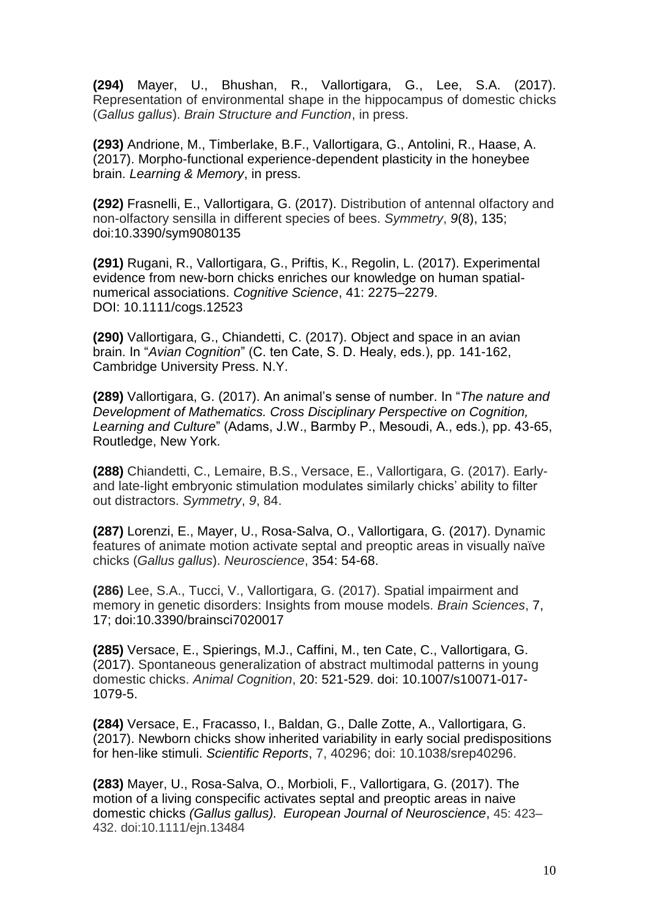**(294)** Mayer, U., Bhushan, R., Vallortigara, G., Lee, S.A. (2017). Representation of environmental shape in the hippocampus of domestic chicks (*Gallus gallus*). *Brain Structure and Function*, in press.

**(293)** Andrione, M., Timberlake, B.F., Vallortigara, G., Antolini, R., Haase, A. (2017). Morpho-functional experience-dependent plasticity in the honeybee brain. *Learning & Memory*, in press.

**(292)** Frasnelli, E., Vallortigara, G. (2017). Distribution of antennal olfactory and non-olfactory sensilla in different species of bees. *Symmetry*, *9*(8), 135; doi[:10.3390/sym9080135](http://dx.doi.org/10.3390/sym9080135)

**(291)** Rugani, R., Vallortigara, G., Priftis, K., Regolin, L. (2017). Experimental evidence from new-born chicks enriches our knowledge on human spatialnumerical associations. *Cognitive Science*, 41: 2275–2279. DOI: 10.1111/cogs.12523

**(290)** Vallortigara, G., Chiandetti, C. (2017). Object and space in an avian brain. In "*Avian Cognition*" (C. ten Cate, S. D. Healy, eds.), pp. 141-162, Cambridge University Press. N.Y.

**(289)** Vallortigara, G. (2017). An animal's sense of number. In "*The nature and Development of Mathematics. Cross Disciplinary Perspective on Cognition, Learning and Culture*" (Adams, J.W., Barmby P., Mesoudi, A., eds.), pp. 43-65, Routledge, New York.

**(288)** Chiandetti, C., Lemaire, B.S., Versace, E., Vallortigara, G. (2017). Earlyand late-light embryonic stimulation modulates similarly chicks' ability to filter out distractors. *Symmetry*, *9*, 84.

**(287)** Lorenzi, E., Mayer, U., Rosa-Salva, O., Vallortigara, G. (2017). Dynamic features of animate motion activate septal and preoptic areas in visually naïve chicks (*Gallus gallus*). *Neuroscience*, 354: 54-68.

**(286)** Lee, S.A., Tucci, V., Vallortigara, G. (2017). Spatial impairment and memory in genetic disorders: Insights from mouse models. *Brain Sciences*, 7, 17; doi:10.3390/brainsci7020017

**(285)** Versace, E., Spierings, M.J., Caffini, M., ten Cate, C., Vallortigara, G. (2017). Spontaneous generalization of abstract multimodal patterns in young domestic chicks. *Animal Cognition*, 20: 521-529. doi: 10.1007/s10071-017- 1079-5.

**(284)** Versace, E., Fracasso, I., Baldan, G., Dalle Zotte, A., Vallortigara, G. (2017). Newborn chicks show inherited variability in early social predispositions for hen-like stimuli. *Scientific Reports*, 7, 40296; doi: 10.1038/srep40296.

**(283)** Mayer, U., Rosa-Salva, O., Morbioli, F., Vallortigara, G. (2017). The motion of a living conspecific activates septal and preoptic areas in naive domestic chicks *(Gallus gallus). European Journal of Neuroscience*, 45: 423– 432. doi:10.1111/ejn.13484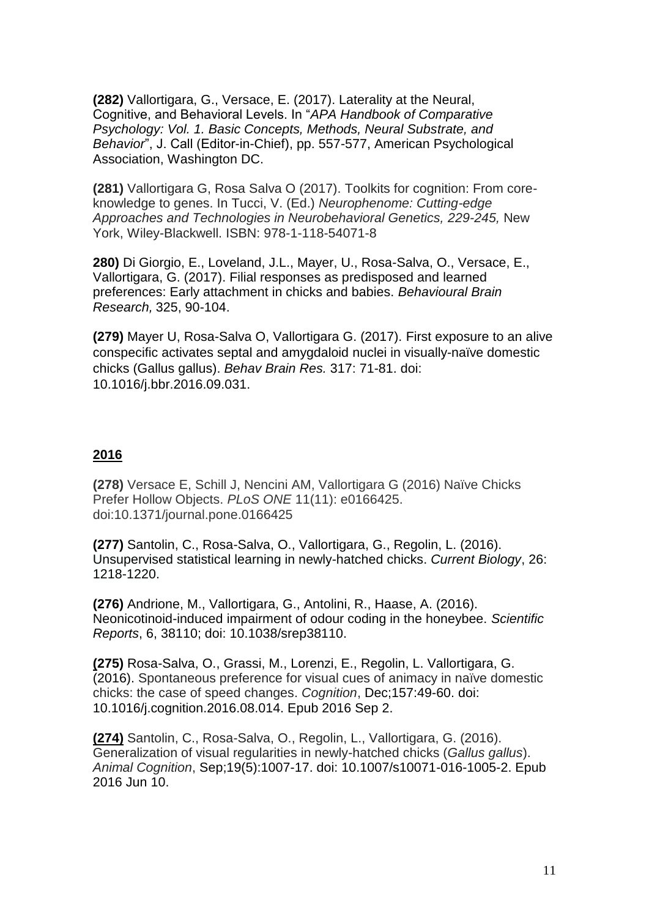**(282)** Vallortigara, G., Versace, E. (2017). Laterality at the Neural, Cognitive, and Behavioral Levels. In "*APA Handbook of Comparative Psychology: Vol. 1. Basic Concepts, Methods, Neural Substrate, and Behavior*", J. Call (Editor-in-Chief), pp. 557-577, American Psychological Association, Washington DC.

**(281)** Vallortigara G, Rosa Salva O (2017). Toolkits for cognition: From coreknowledge to genes. In Tucci, V. (Ed.) *Neurophenome: Cutting-edge Approaches and Technologies in Neurobehavioral Genetics, 229-245,* New York, Wiley-Blackwell. ISBN: 978-1-118-54071-8

**280)** Di Giorgio, E., Loveland, J.L., Mayer, U., Rosa-Salva, O., Versace, E., Vallortigara, G. (2017). Filial responses as predisposed and learned preferences: Early attachment in chicks and babies. *Behavioural Brain Research,* 325, 90-104.

**(279)** Mayer U, Rosa-Salva O, Vallortigara G. (2017). First exposure to an alive conspecific activates septal and amygdaloid nuclei in visually-naïve domestic chicks (Gallus gallus). *Behav Brain Res.* 317: 71-81. doi: 10.1016/j.bbr.2016.09.031.

#### **2016**

**(278)** Versace E, Schill J, Nencini AM, Vallortigara G (2016) Naïve Chicks Prefer Hollow Objects. *PLoS ONE* 11(11): e0166425. doi:10.1371/journal.pone.0166425

**(277)** Santolin, C., Rosa-Salva, O., Vallortigara, G., Regolin, L. (2016). Unsupervised statistical learning in newly-hatched chicks. *Current Biology*, 26: 1218-1220.

**(276)** Andrione, M., Vallortigara, G., Antolini, R., Haase, A. (2016). Neonicotinoid-induced impairment of odour coding in the honeybee. *Scientific Reports*, 6, 38110; doi: 10.1038/srep38110.

**(275)** Rosa-Salva, O., Grassi, M., Lorenzi, E., Regolin, L. Vallortigara, G. (2016). Spontaneous preference for visual cues of animacy in naïve domestic chicks: the case of speed changes. *Cognition*, Dec;157:49-60. doi: 10.1016/j.cognition.2016.08.014. Epub 2016 Sep 2.

**(274)** Santolin, C., Rosa-Salva, O., Regolin, L., Vallortigara, G. (2016). Generalization of visual regularities in newly-hatched chicks (*Gallus gallus*). *Animal Cognition*, Sep;19(5):1007-17. doi: 10.1007/s10071-016-1005-2. Epub 2016 Jun 10.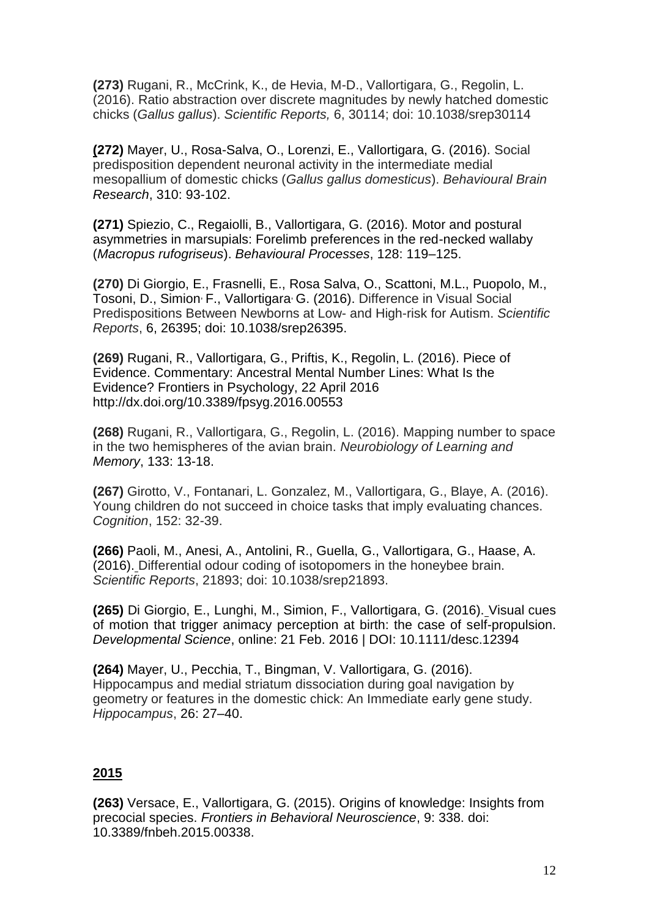**(273)** Rugani, R., McCrink, K., de Hevia, M-D., Vallortigara, G., Regolin, L. (2016). Ratio abstraction over discrete magnitudes by newly hatched domestic chicks (*Gallus gallus*). *Scientific Reports,* 6, 30114; doi: 10.1038/srep30114

**(272)** Mayer, U., Rosa-Salva, O., Lorenzi, E., Vallortigara, G. (2016). Social predisposition dependent neuronal activity in the intermediate medial mesopallium of domestic chicks (*Gallus gallus domesticus*). *Behavioural Brain Research*, 310: 93-102.

**(271)** Spiezio, C., Regaiolli, B., Vallortigara, G. (2016). Motor and postural asymmetries in marsupials: Forelimb preferences in the red-necked wallaby (*Macropus rufogriseus*). *Behavioural Processes*, 128: 119–125.

**(270)** Di Giorgio, E., Frasnelli, E., Rosa Salva, O., Scattoni, M.L., Puopolo, M., Tosoni, D., Simion, F., Vallortigara, G. (2016). Difference in Visual Social Predispositions Between Newborns at Low- and High-risk for Autism. *Scientific Reports*, 6, 26395; doi: 10.1038/srep26395.

**(269)** Rugani, R., Vallortigara, G., Priftis, K., Regolin, L. (2016). Piece of Evidence. Commentary: Ancestral Mental Number Lines: What Is the Evidence? Frontiers in Psychology, 22 April 2016 <http://dx.doi.org/10.3389/fpsyg.2016.00553>

**(268)** Rugani, R., Vallortigara, G., Regolin, L. (2016). Mapping number to space in the two hemispheres of the avian brain. *Neurobiology of Learning and Memory*, 133: 13-18.

**(267)** Girotto, V., Fontanari, L. Gonzalez, M., Vallortigara, G., Blaye, A. (2016). Young children do not succeed in choice tasks that imply evaluating chances. *Cognition*, 152: 32-39.

**(266)** Paoli, M., Anesi, A., Antolini, R., Guella, G., Vallortigara, G., Haase, A. (2016). Differential odour coding of isotopomers in the honeybee brain. *Scientific Reports*, 21893; doi: 10.1038/srep21893.

**(265)** Di Giorgio, E., Lunghi, M., Simion, F., Vallortigara, G. (2016). Visual cues of motion that trigger animacy perception at birth: the case of self-propulsion. *Developmental Science*, online: 21 Feb. 2016 | DOI: 10.1111/desc.12394

**(264)** Mayer, U., Pecchia, T., Bingman, V. Vallortigara, G. (2016). Hippocampus and medial striatum dissociation during goal navigation by geometry or features in the domestic chick: An Immediate early gene study. *Hippocampus*, 26: 27–40.

# **2015**

**(263)** Versace, E., Vallortigara, G. (2015). Origins of knowledge: Insights from precocial species. *Frontiers in Behavioral Neuroscience*, 9: 338. doi: 10.3389/fnbeh.2015.00338.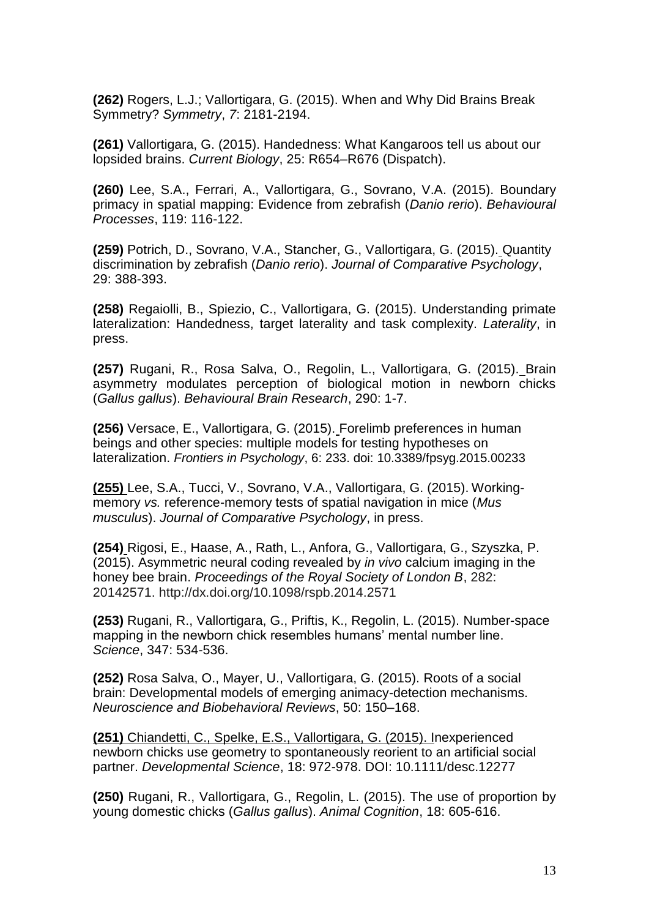**(262)** Rogers, L.J.; Vallortigara, G. (2015). When and Why Did Brains Break Symmetry? *Symmetry*, *7*: 2181-2194.

**(261)** Vallortigara, G. (2015). Handedness: What Kangaroos tell us about our lopsided brains. *Current Biology*, 25: R654–R676 (Dispatch).

**(260)** Lee, S.A., Ferrari, A., Vallortigara, G., Sovrano, V.A. (2015). Boundary primacy in spatial mapping: Evidence from zebrafish (*Danio rerio*). *Behavioural Processes*, 119: 116-122.

**(259)** Potrich, D., Sovrano, V.A., Stancher, G., Vallortigara, G. (2015). Quantity discrimination by zebrafish (*Danio rerio*). *Journal of Comparative Psychology*, 29: 388-393.

**(258)** Regaiolli, B., Spiezio, C., Vallortigara, G. (2015). Understanding primate lateralization: Handedness, target laterality and task complexity. *Laterality*, in press.

**(257)** Rugani, R., Rosa Salva, O., Regolin, L., Vallortigara, G. (2015). Brain asymmetry modulates perception of biological motion in newborn chicks (*Gallus gallus*). *Behavioural Brain Research*, 290: 1-7.

**(256)** Versace, E., Vallortigara, G. (2015). Forelimb preferences in human beings and other species: multiple models for testing hypotheses on lateralization. *Frontiers in Psychology*, 6: 233. doi: 10.3389/fpsyg.2015.00233

**(255)** Lee, S.A., Tucci, V., Sovrano, V.A., Vallortigara, G. (2015). Workingmemory *vs.* reference-memory tests of spatial navigation in mice (*Mus musculus*). *Journal of Comparative Psychology*, in press.

**(254)** Rigosi, E., Haase, A., Rath, L., Anfora, G., Vallortigara, G., Szyszka, P. (2015). Asymmetric neural coding revealed by *in vivo* calcium imaging in the honey bee brain. *Proceedings of the Royal Society of London B*, 282: 20142571. http://dx.doi.org/10.1098/rspb.2014.2571

**(253)** Rugani, R., Vallortigara, G., Priftis, K., Regolin, L. (2015). Number-space mapping in the newborn chick resembles humans' mental number line. *Science*, 347: 534-536.

**(252)** Rosa Salva, O., Mayer, U., Vallortigara, G. (2015). Roots of a social brain: Developmental models of emerging animacy-detection mechanisms. *Neuroscience and Biobehavioral Reviews*, 50: 150–168.

**(251)** Chiandetti, C., Spelke, E.S., Vallortigara, G. (2015). Inexperienced newborn chicks use geometry to spontaneously reorient to an artificial social partner. *Developmental Science*, 18: 972-978. DOI: 10.1111/desc.12277

**(250)** Rugani, R., Vallortigara, G., Regolin, L. (2015). The use of proportion by young domestic chicks (*Gallus gallus*). *Animal Cognition*, 18: 605-616.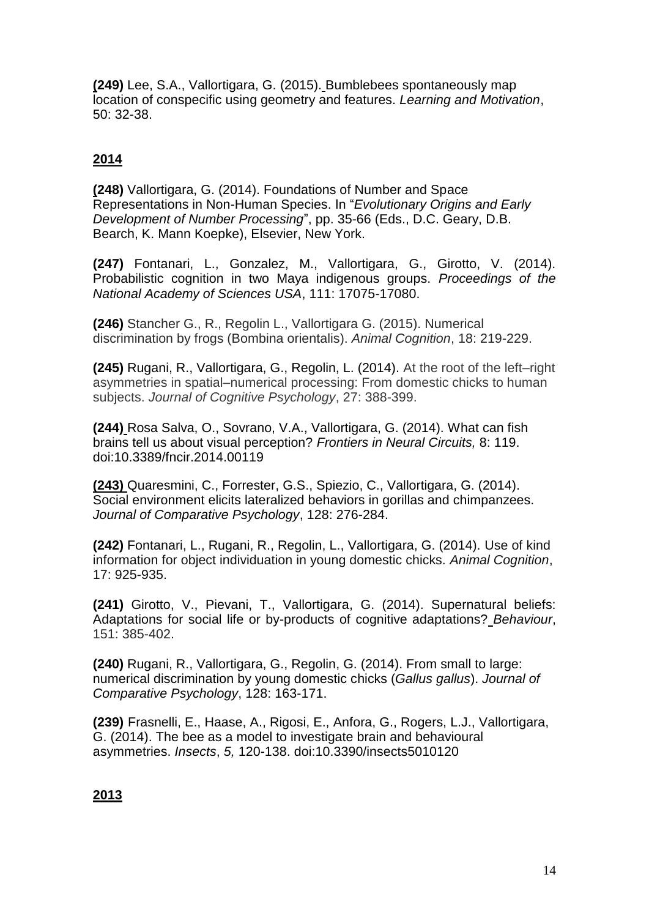**(249)** Lee, S.A., Vallortigara, G. (2015). Bumblebees spontaneously map location of conspecific using geometry and features. *Learning and Motivation*, 50: 32-38.

# **2014**

**(248)** Vallortigara, G. (2014). Foundations of Number and Space Representations in Non-Human Species. In "*Evolutionary Origins and Early Development of Number Processing*", pp. 35-66 (Eds., D.C. Geary, D.B. Bearch, K. Mann Koepke), Elsevier, New York.

**(247)** Fontanari, L., Gonzalez, M., Vallortigara, G., Girotto, V. (2014). Probabilistic cognition in two Maya indigenous groups. *Proceedings of the National Academy of Sciences USA*, 111: 17075-17080.

**(246)** Stancher G., R., Regolin L., Vallortigara G. (2015). Numerical discrimination by frogs (Bombina orientalis). *Animal Cognition*, 18: 219-229.

**(245)** Rugani, R., Vallortigara, G., Regolin, L. (2014). At the root of the left–right asymmetries in spatial–numerical processing: From domestic chicks to human subjects. *Journal of Cognitive Psychology*, 27: 388-399.

**(244)** Rosa Salva, O., Sovrano, V.A., Vallortigara, G. (2014). What can fish brains tell us about visual perception? *Frontiers in Neural Circuits,* 8: 119. doi:10.3389/fncir.2014.00119

**(243)** Quaresmini, C., Forrester, G.S., Spiezio, C., Vallortigara, G. (2014). Social environment elicits lateralized behaviors in gorillas and chimpanzees. *Journal of Comparative Psychology*, 128: 276-284.

**(242)** Fontanari, L., Rugani, R., Regolin, L., Vallortigara, G. (2014). Use of kind information for object individuation in young domestic chicks. *Animal Cognition*, 17: 925-935.

**(241)** Girotto, V., Pievani, T., Vallortigara, G. (2014). Supernatural beliefs: Adaptations for social life or by-products of cognitive adaptations? *Behaviour*, 151: 385-402.

**(240)** Rugani, R., Vallortigara, G., Regolin, G. (2014). From small to large: numerical discrimination by young domestic chicks (*Gallus gallus*). *Journal of Comparative Psychology*, 128: 163-171.

**(239)** Frasnelli, E., Haase, A., Rigosi, E., Anfora, G., Rogers, L.J., Vallortigara, G. (2014). The bee as a model to investigate brain and behavioural asymmetries. *Insects*, *5,* 120-138. doi:10.3390/insects5010120

## **2013**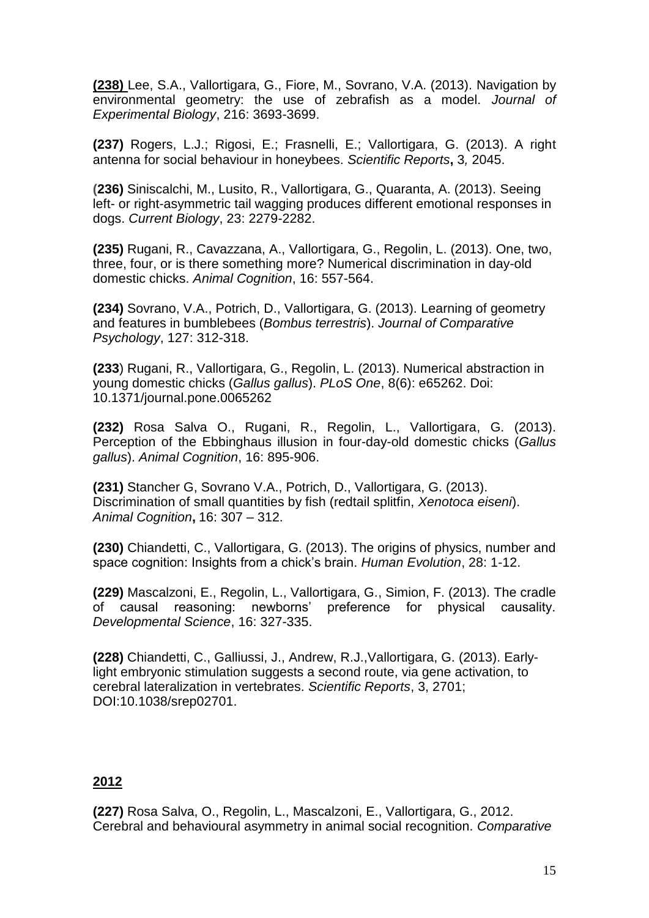**(238)** Lee, S.A., Vallortigara, G., Fiore, M., Sovrano, V.A. (2013). Navigation by environmental geometry: the use of zebrafish as a model. *Journal of Experimental Biology*, 216: 3693-3699.

**(237)** Rogers, L.J.; Rigosi, E.; Frasnelli, E.; Vallortigara, G. (2013). A right antenna for social behaviour in honeybees. *Scientific Reports***,** 3*,* 2045.

**(236)** Siniscalchi, M., Lusito, R., Vallortigara, G., Quaranta, A. (2013). Seeing left- or right-asymmetric tail wagging produces different emotional responses in dogs. *Current Biology*, 23: 2279-2282.

**(235)** Rugani, R., Cavazzana, A., Vallortigara, G., Regolin, L. (2013). [One, two,](http://scholar.google.it/scholar?oi=bibs&hl=it&cluster=5338068869129424377&btnI=Lucky)  [three, four, or is there something more? Numerical discrimination in day-old](http://scholar.google.it/scholar?oi=bibs&hl=it&cluster=5338068869129424377&btnI=Lucky)  [domestic chicks.](http://scholar.google.it/scholar?oi=bibs&hl=it&cluster=5338068869129424377&btnI=Lucky) *Animal Cognition*, 16: 557-564.

**(234)** Sovrano, V.A., Potrich, D., Vallortigara, G. (2013). [Learning of geometry](http://apps.webofknowledge.com.ezp.biblio.unitn.it/full_record.do?product=WOS&search_mode=GeneralSearch&qid=1&SID=R1Fc88oZ73qtIWjY5AQ&page=1&doc=5)  [and features in bumblebees \(](http://apps.webofknowledge.com.ezp.biblio.unitn.it/full_record.do?product=WOS&search_mode=GeneralSearch&qid=1&SID=R1Fc88oZ73qtIWjY5AQ&page=1&doc=5)*Bombus terrestris*). *Journal of Comparative Psychology*, 127: 312-318.

**(233**) Rugani, R., Vallortigara, G., Regolin, L. (2013). Numerical abstraction in young domestic chicks (*Gallus gallus*). *PLoS One*, 8(6): e65262. Doi: 10.1371/journal.pone.0065262

**(232)** Rosa Salva O., Rugani, R., Regolin, L., Vallortigara, G. (2013). Perception of the Ebbinghaus illusion in four-day-old domestic chicks (*Gallus gallus*). *Animal Cognition*, 16: 895-906.

**(231)** Stancher G, Sovrano V.A., Potrich, D., Vallortigara, G. (2013). [Discrimination of small quantities by fish \(redtail splitfin,](http://www.medworm.com/index.php?rid=6995622&cid=s_37504_98_m&fid=37504&url=http%3A%2F%2Fwww.ncbi.nlm.nih.gov%2FPubMed%2F23288253%3Fdopt%3DAbstract) *Xenotoca eiseni*). *Animal Cognition***,** 16: 307 – 312.

**(230)** Chiandetti, C., Vallortigara, G. (2013). The origins of physics, number and space cognition: Insights from a chick's brain. *Human Evolution*, 28: 1-12.

**(229)** Mascalzoni, E., Regolin, L., Vallortigara, G., Simion, F. (2013). The cradle of causal reasoning: newborns' preference for physical causality. *Developmental Science*, 16: 327-335.

**(228)** Chiandetti, C., Galliussi, J., Andrew, R.J.,Vallortigara, G. (2013). Earlylight embryonic stimulation suggests a second route, via gene activation, to cerebral lateralization in vertebrates. *Scientific Reports*, 3, 2701; DOI:10.1038/srep02701.

## **2012**

**(227)** Rosa Salva, O., Regolin, L., Mascalzoni, E., Vallortigara, G., 2012. Cerebral and behavioural asymmetry in animal social recognition. *Comparative*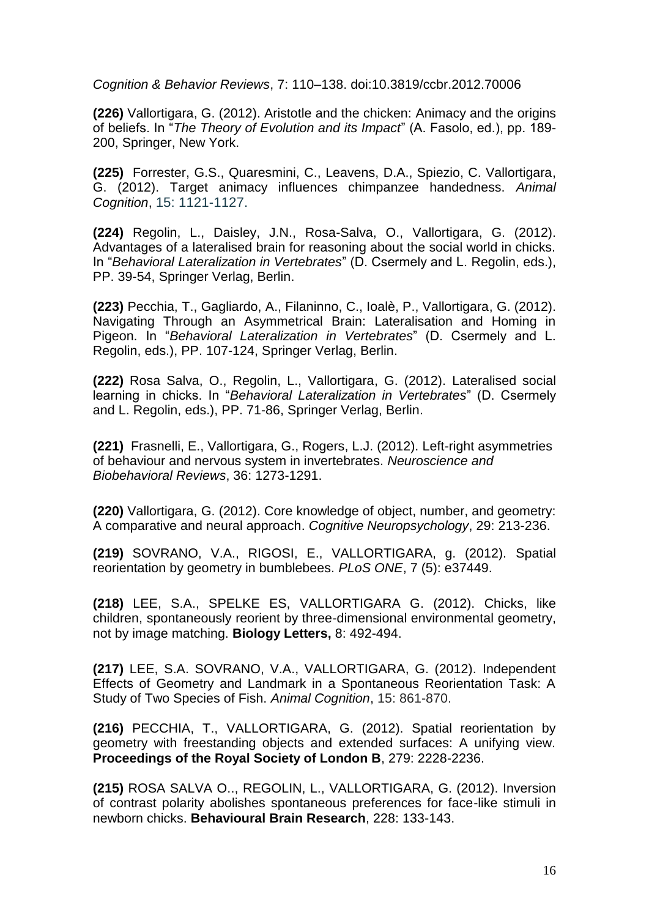*Cognition & Behavior Reviews*, 7: 110–138. doi:10.3819/ccbr.2012.70006

**(226)** Vallortigara, G. (2012). Aristotle and the chicken: Animacy and the origins of beliefs. In "*The Theory of Evolution and its Impact*" (A. Fasolo, ed.), pp. 189- 200, Springer, New York.

**(225)** Forrester, G.S., Quaresmini, C., Leavens, D.A., Spiezio, C. Vallortigara, G. (2012). Target animacy influences chimpanzee handedness. *Animal Cognition*, 15: 1121-1127.

**(224)** Regolin, L., Daisley, J.N., Rosa-Salva, O., Vallortigara, G. (2012). Advantages of a lateralised brain for reasoning about the social world in chicks. In "*Behavioral Lateralization in Vertebrates*" (D. Csermely and L. Regolin, eds.), PP. 39-54, Springer Verlag, Berlin.

**(223)** Pecchia, T., Gagliardo, A., Filaninno, C., Ioalè, P., Vallortigara, G. (2012). Navigating Through an Asymmetrical Brain: Lateralisation and Homing in Pigeon. In "*Behavioral Lateralization in Vertebrates*" (D. Csermely and L. Regolin, eds.), PP. 107-124, Springer Verlag, Berlin.

**(222)** Rosa Salva, O., Regolin, L., Vallortigara, G. (2012). Lateralised social learning in chicks. In "*Behavioral Lateralization in Vertebrates*" (D. Csermely and L. Regolin, eds.), PP. 71-86, Springer Verlag, Berlin.

**(221)** Frasnelli, E., Vallortigara, G., Rogers, L.J. (2012). [Left-right asymmetries](http://www.ncbi.nlm.nih.gov/pubmed/22353424)  [of behaviour and nervous system in invertebrates.](http://www.ncbi.nlm.nih.gov/pubmed/22353424) *Neuroscience and Biobehavioral Reviews*, 36: 1273-1291.

**(220)** Vallortigara, G. (2012). [Core knowledge of object, number, and geometry:](http://www.medworm.com/index.php?rid=5665403&cid=s_38072_36_m&fid=38072&url=http%3A%2F%2Fwww.ncbi.nlm.nih.gov%2Fentrez%2Fquery.fcgi%3Ftmpl%3DNoSidebarfile%26db%3DPubMed%26cmd%3DRetrieve%26list_uids%3D22292801%26dopt%3DAbstract)  [A comparative and neural approach.](http://www.medworm.com/index.php?rid=5665403&cid=s_38072_36_m&fid=38072&url=http%3A%2F%2Fwww.ncbi.nlm.nih.gov%2Fentrez%2Fquery.fcgi%3Ftmpl%3DNoSidebarfile%26db%3DPubMed%26cmd%3DRetrieve%26list_uids%3D22292801%26dopt%3DAbstract) *Cognitive Neuropsychology*, 29: 213-236.

**(219)** SOVRANO, V.A., RIGOSI, E., VALLORTIGARA, g. (2012). Spatial reorientation by geometry in bumblebees. *PLoS ONE*, 7 (5): e37449.

**(218)** LEE, S.A., SPELKE ES, VALLORTIGARA G. (2012). [Chicks, like](http://www.ncbi.nlm.nih.gov/pubmed/22417791)  [children, spontaneously reorient by three-dimensional environmental geometry,](http://www.ncbi.nlm.nih.gov/pubmed/22417791)  [not by image matching.](http://www.ncbi.nlm.nih.gov/pubmed/22417791) **Biology Letters,** 8: 492-494.

**(217)** LEE, S.A. SOVRANO, V.A., VALLORTIGARA, G. (2012). Independent Effects of Geometry and Landmark in a Spontaneous Reorientation Task: A Study of Two Species of Fish. *Animal Cognition*, 15: 861-870.

**(216)** PECCHIA, T., VALLORTIGARA, G. (2012). Spatial reorientation by geometry with freestanding objects and extended surfaces: A unifying view. **Proceedings of the Royal Society of London B**, 279: 2228-2236.

**(215)** ROSA SALVA O.., REGOLIN, L., VALLORTIGARA, G. (2012). Inversion of contrast polarity abolishes spontaneous preferences for face-like stimuli in newborn chicks. **Behavioural Brain Research**, 228: 133-143.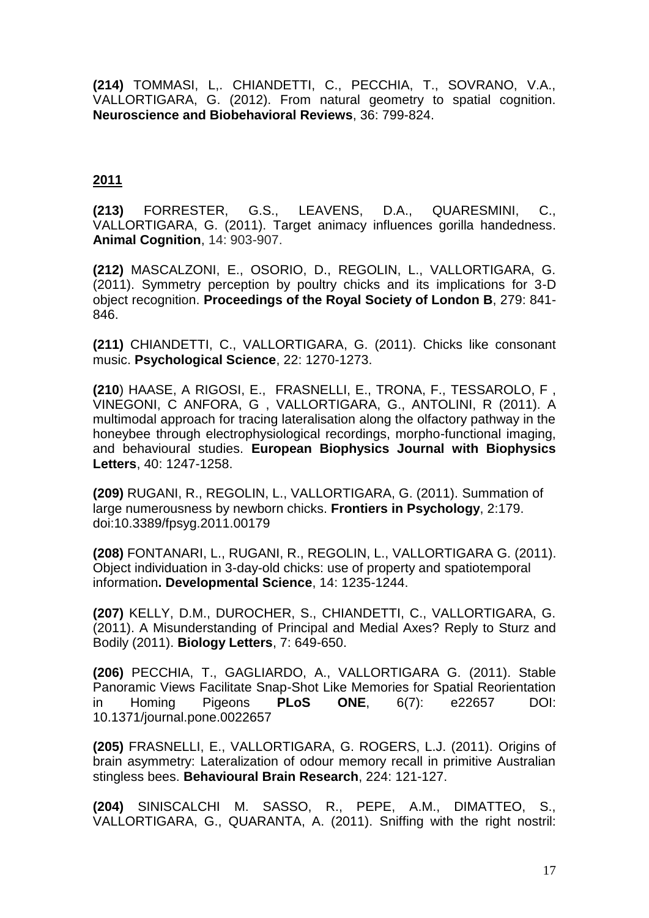**(214)** TOMMASI, L,. CHIANDETTI, C., PECCHIA, T., SOVRANO, V.A., VALLORTIGARA, G. (2012). [From natural geometry to spatial cognition.](http://www.ncbi.nlm.nih.gov/pubmed/22206900) **Neuroscience and Biobehavioral Reviews**, 36: 799-824.

### **2011**

**(213)** FORRESTER, G.S., LEAVENS, D.A., QUARESMINI, C., VALLORTIGARA, G. (2011). Target animacy influences gorilla handedness. **Animal Cognition**, 14: 903-907.

**(212)** MASCALZONI, E., OSORIO, D., REGOLIN, L., VALLORTIGARA, G. (2011). Symmetry perception by poultry chicks and its implications for 3-D object recognition. **Proceedings of the Royal Society of London B**, 279: 841- 846.

**(211)** CHIANDETTI, C., VALLORTIGARA, G. (2011). Chicks like consonant music. **Psychological Science**, 22: 1270-1273.

**(210**) [HAASE, A R](http://apps.webofknowledge.com.ezp.biblio.unitn.it/OneClickSearch.do?product=WOS&search_mode=OneClickSearch&colName=WOS&SID=2C4bP75N9EhBJ8@@fcA&field=AU&value=Haase,%20A)IGOSI, E., FRASNELLI, E., TRONA, F., [TESSAROLO, F ,](http://apps.webofknowledge.com.ezp.biblio.unitn.it/OneClickSearch.do?product=WOS&search_mode=OneClickSearch&colName=WOS&SID=2C4bP75N9EhBJ8@@fcA&field=AU&value=Tessarolo,%20F) [VINEGONI, C A](http://apps.webofknowledge.com.ezp.biblio.unitn.it/OneClickSearch.do?product=WOS&search_mode=OneClickSearch&colName=WOS&SID=2C4bP75N9EhBJ8@@fcA&field=AU&value=Vinegoni,%20C)NFORA, G , VALLORTIGARA, G., [ANTOLINI, R \(](http://apps.webofknowledge.com.ezp.biblio.unitn.it/OneClickSearch.do?product=WOS&search_mode=OneClickSearch&colName=WOS&SID=2C4bP75N9EhBJ8@@fcA&field=AU&value=Antolini,%20R)2011). A multimodal approach for tracing lateralisation along the olfactory pathway in the honeybee through electrophysiological recordings, morpho-functional imaging, and behavioural studies. **European Biophysics Journal with Biophysics Letters**, 40: 1247-1258.

**(209)** RUGANI, R., REGOLIN, L., VALLORTIGARA, G. (2011). Summation of large numerousness by newborn chicks. **Frontiers in Psychology**, 2:179. doi:10.3389/fpsyg.2011.00179

**(208)** FONTANARI, L., RUGANI, R., REGOLIN, L., VALLORTIGARA G. (2011). Object individuation in 3-day-old chicks: use of property and spatiotemporal information**. Developmental Science**, 14: 1235-1244.

**(207)** KELLY, D.M., DUROCHER, S., CHIANDETTI, C., VALLORTIGARA, G. (2011). A Misunderstanding of Principal and Medial Axes? Reply to Sturz and Bodily (2011). **Biology Letters**, 7: 649-650.

**(206)** PECCHIA, T., GAGLIARDO, A., VALLORTIGARA G. (2011). [Stable](http://apps.webofknowledge.com.ezp.biblio.unitn.it/full_record.do?product=UA&search_mode=GeneralSearch&qid=1&SID=U2nAKD2pM8amidGBFpj&page=1&doc=5)  [Panoramic Views Facilitate Snap-Shot Like Memories for Spatial Reorientation](http://apps.webofknowledge.com.ezp.biblio.unitn.it/full_record.do?product=UA&search_mode=GeneralSearch&qid=1&SID=U2nAKD2pM8amidGBFpj&page=1&doc=5)  [in Homing Pigeons](http://apps.webofknowledge.com.ezp.biblio.unitn.it/full_record.do?product=UA&search_mode=GeneralSearch&qid=1&SID=U2nAKD2pM8amidGBFpj&page=1&doc=5) **PLoS ONE**, 6(7): e22657 DOI: 10.1371/journal.pone.0022657

**(205)** FRASNELLI, E., VALLORTIGARA, G. ROGERS, L.J. (2011). Origins of brain asymmetry: Lateralization of odour memory recall in primitive Australian stingless bees. **Behavioural Brain Research**, 224: 121-127.

**(204)** SINISCALCHI M. SASSO, R., PEPE, A.M., DIMATTEO, S., VALLORTIGARA, G., QUARANTA, A. (2011). Sniffing with the right nostril: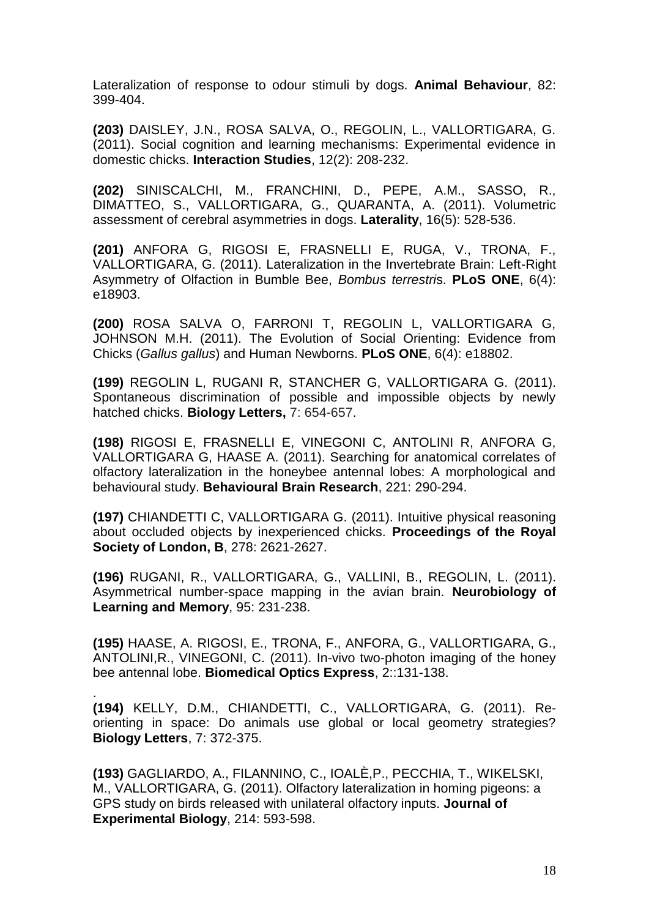Lateralization of response to odour stimuli by dogs. **Animal Behaviour**, 82: 399-404.

**(203)** DAISLEY, J.N., ROSA SALVA, O., REGOLIN, L., VALLORTIGARA, G. (2011). Social cognition and learning mechanisms: Experimental evidence in domestic chicks. **Interaction Studies**, 12(2): 208-232.

**(202)** SINISCALCHI, M., FRANCHINI, D., PEPE, A.M., SASSO, R., DIMATTEO, S., VALLORTIGARA, G., QUARANTA, A. (2011). Volumetric assessment of cerebral asymmetries in dogs. **Laterality**, 16(5): 528-536.

**(201)** ANFORA G, RIGOSI E, FRASNELLI E, RUGA, V., TRONA, F., VALLORTIGARA, G. (2011). [Lateralization in the Invertebrate Brain: Left-Right](http://apps.isiknowledge.com.ezp.biblio.unitn.it/full_record.do?product=WOS&search_mode=GeneralSearch&qid=1&SID=Z2JH@A91ljhDkg7c@ob&page=1&doc=1)  [Asymmetry of Olfaction in Bumble Bee,](http://apps.isiknowledge.com.ezp.biblio.unitn.it/full_record.do?product=WOS&search_mode=GeneralSearch&qid=1&SID=Z2JH@A91ljhDkg7c@ob&page=1&doc=1) *Bombus terrestri*s. **PLoS ONE**, 6(4): e18903.

**(200)** ROSA SALVA O, FARRONI T, REGOLIN L, VALLORTIGARA G, JOHNSON M.H. (2011). [The Evolution of Social Orienting: Evidence from](http://www.ncbi.nlm.nih.gov/pubmed/21533093)  Chicks (*Gallus gallus*[\) and Human Newborns.](http://www.ncbi.nlm.nih.gov/pubmed/21533093) **PLoS ONE**, 6(4): e18802.

**(199)** REGOLIN L, RUGANI R, STANCHER G, VALLORTIGARA G. (2011). [Spontaneous discrimination of possible and impossible objects by newly](http://www.ncbi.nlm.nih.gov/pubmed/21429912)  [hatched chicks.](http://www.ncbi.nlm.nih.gov/pubmed/21429912) **Biology Letters,** 7: 654-657.

**(198)** RIGOSI E, FRASNELLI E, VINEGONI C, ANTOLINI R, ANFORA G, VALLORTIGARA G, HAASE A. (2011). Sea[rching for anatomical correlates of](http://www.ncbi.nlm.nih.gov/pubmed/21402106)  [olfactory lateralization in the honeybee antennal lobes: A morphological and](http://www.ncbi.nlm.nih.gov/pubmed/21402106)  [behavioural study.](http://www.ncbi.nlm.nih.gov/pubmed/21402106) **Behavioural Brain Research**, 221: 290-294.

**(197)** CHIANDETTI C, VALLORTIGARA G. (2011). [Intuitive physical reasoning](http://www.ncbi.nlm.nih.gov/pubmed/21270036)  [about occluded objects by inexperienced chicks.](http://www.ncbi.nlm.nih.gov/pubmed/21270036) **Proceedings of the Royal Society of London, B**, 278: 2621-2627.

**(196)** RUGANI, R., VALLORTIGARA, G., VALLINI, B., REGOLIN, L. (2011). Asymmetrical number-space mapping in the avian brain. **Neurobiology of Learning and Memory**, 95: 231-238.

**(195)** HAASE, A. RIGOSI, E., TRONA, F., ANFORA, G., VALLORTIGARA, G., ANTOLINI,R., VINEGONI, C. (2011). In-vivo two-photon imaging of the honey bee antennal lobe. **Biomedical Optics Express**, 2::131-138.

**(194)** KELLY, D.M., CHIANDETTI, C., VALLORTIGARA, G. (2011). Reorienting in space: Do animals use global or local geometry strategies? **Biology Letters**, 7: 372-375.

.

**(193)** GAGLIARDO, A., FILANNINO, C., IOALÈ,P., PECCHIA, T., WIKELSKI, M., VALLORTIGARA, G. (2011). Olfactory lateralization in homing pigeons: a GPS study on birds released with unilateral olfactory inputs. **Journal of Experimental Biology**, 214: 593-598.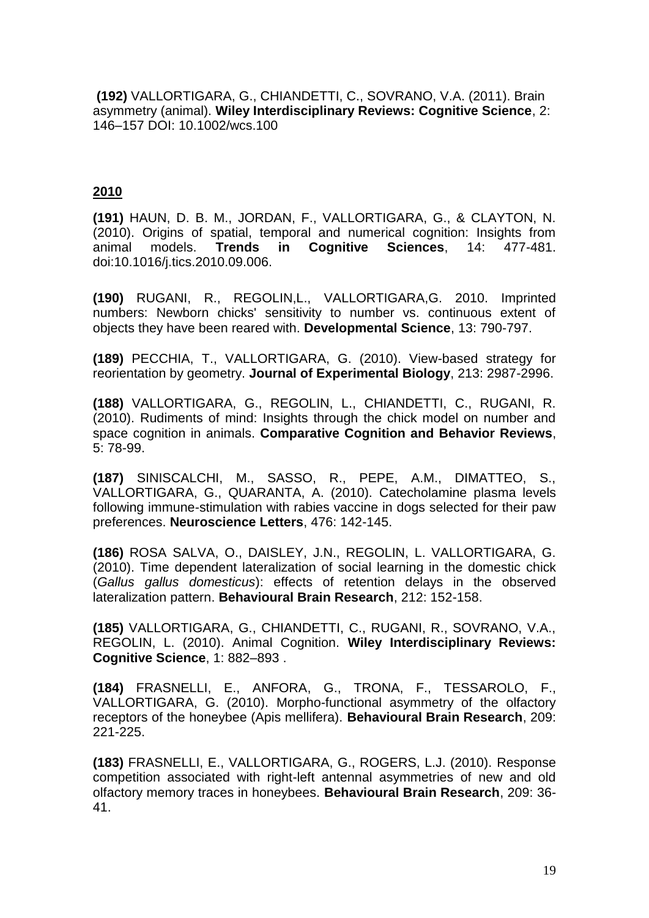**(192)** VALLORTIGARA, G., CHIANDETTI, C., SOVRANO, V.A. (2011). Brain asymmetry (animal). **Wiley Interdisciplinary Reviews: Cognitive Science**, 2: 146–157 DOI: 10.1002/wcs.100

### **2010**

**(191)** HAUN, D. B. M., JORDAN, F., VALLORTIGARA, G., & CLAYTON, N. (2010). Origins of spatial, temporal and numerical cognition: Insights from animal models. **Trends in Cognitive Sciences**, 14: 477-481. doi:10.1016/j.tics.2010.09.006.

**(190)** RUGANI, R., REGOLIN,L., VALLORTIGARA,G. 2010. Imprinted numbers: Newborn chicks' sensitivity to number vs. continuous extent of objects they have been reared with. **Developmental Science**, 13: 790-797.

**(189)** PECCHIA, T., VALLORTIGARA, G. (2010). View-based strategy for reorientation by geometry. **Journal of Experimental Biology**, 213: 2987-2996.

**(188)** VALLORTIGARA, G., REGOLIN, L., CHIANDETTI, C., RUGANI, R. (2010). Rudiments of mind: Insights through the chick model on number and space cognition in animals. **Comparative Cognition and Behavior Reviews**, 5: 78-99.

**(187)** SINISCALCHI, M., SASSO, R., PEPE, A.M., DIMATTEO, S., VALLORTIGARA, G., QUARANTA, A. (2010). Catecholamine plasma levels following immune-stimulation with rabies vaccine in dogs selected for their paw preferences. **Neuroscience Letters**, 476: 142-145.

**(186)** ROSA SALVA, O., DAISLEY, J.N., REGOLIN, L. VALLORTIGARA, G. (2010). Time dependent lateralization of social learning in the domestic chick (*Gallus gallus domesticus*): effects of retention delays in the observed lateralization pattern. **Behavioural Brain Research**, 212: 152-158.

**(185)** VALLORTIGARA, G., CHIANDETTI, C., RUGANI, R., SOVRANO, V.A., REGOLIN, L. (2010). Animal Cognition. **Wiley Interdisciplinary Reviews: Cognitive Science**, 1: 882–893 .

**(184)** FRASNELLI, E., ANFORA, G., TRONA, F., TESSAROLO, F., VALLORTIGARA, G. (2010). Morpho-functional asymmetry of the olfactory receptors of the honeybee (Apis mellifera). **Behavioural Brain Research**, 209: 221-225.

**(183)** FRASNELLI, E., VALLORTIGARA, G., ROGERS, L.J. (2010). Response competition associated with right-left antennal asymmetries of new and old olfactory memory traces in honeybees. **Behavioural Brain Research**, 209: 36- 41.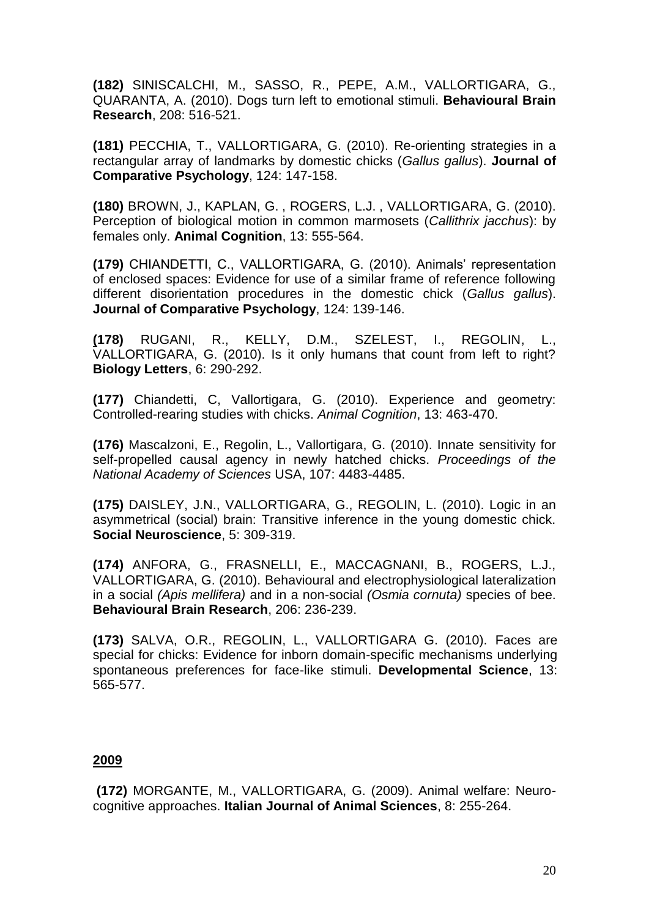**(182)** SINISCALCHI, M., SASSO, R., PEPE, A.M., VALLORTIGARA, G., QUARANTA, A. (2010). Dogs turn left to emotional stimuli. **Behavioural Brain Research**, 208: 516-521.

**(181)** PECCHIA, T., VALLORTIGARA, G. (2010). Re-orienting strategies in a rectangular array of landmarks by domestic chicks (*Gallus gallus*). **Journal of Comparative Psychology**, 124: 147-158.

**(180)** BROWN, J., KAPLAN, G. , ROGERS, L.J. , VALLORTIGARA, G. (2010). Perception of biological motion in common marmosets (*Callithrix jacchus*): by females only. **Animal Cognition**, 13: 555-564.

**(179)** CHIANDETTI, C., VALLORTIGARA, G. (2010). Animals' representation of enclosed spaces: Evidence for use of a similar frame of reference following different disorientation procedures in the domestic chick (*Gallus gallus*). **Journal of Comparative Psychology**, 124: 139-146.

**(178)** RUGANI, R., KELLY, D.M., SZELEST, I., REGOLIN, L., VALLORTIGARA, G. (2010). Is it only humans that count from left to right? **Biology Letters**, 6: 290-292.

**(177)** Chiandetti, C, Vallortigara, G. (2010). Experience and geometry: Controlled-rearing studies with chicks. *Animal Cognition*, 13: 463-470.

**(176)** Mascalzoni, E., Regolin, L., Vallortigara, G. (2010). Innate sensitivity for self-propelled causal agency in newly hatched chicks. *Proceedings of the National Academy of Sciences* USA, 107: 4483-4485.

**(175)** DAISLEY, J.N., VALLORTIGARA, G., REGOLIN, L. (2010). Logic in an asymmetrical (social) brain: Transitive inference in the young domestic chick. **Social Neuroscience**, 5: 309-319.

**(174)** ANFORA, G., FRASNELLI, E., MACCAGNANI, B., ROGERS, L.J., VALLORTIGARA, G. (2010). Behavioural and electrophysiological lateralization in a social *(Apis mellifera)* and in a non-social *(Osmia cornuta)* species of bee. **Behavioural Brain Research**, 206: 236-239.

**(173)** SALVA, O.R., REGOLIN, L., VALLORTIGARA G. (2010). Faces are special for chicks: Evidence for inborn domain-specific mechanisms underlying spontaneous preferences for face-like stimuli. **Developmental Science**, 13: 565-577.

## **2009**

**(172)** MORGANTE, M., VALLORTIGARA, G. (2009). Animal welfare: Neurocognitive approaches. **Italian Journal of Animal Sciences**, 8: 255-264.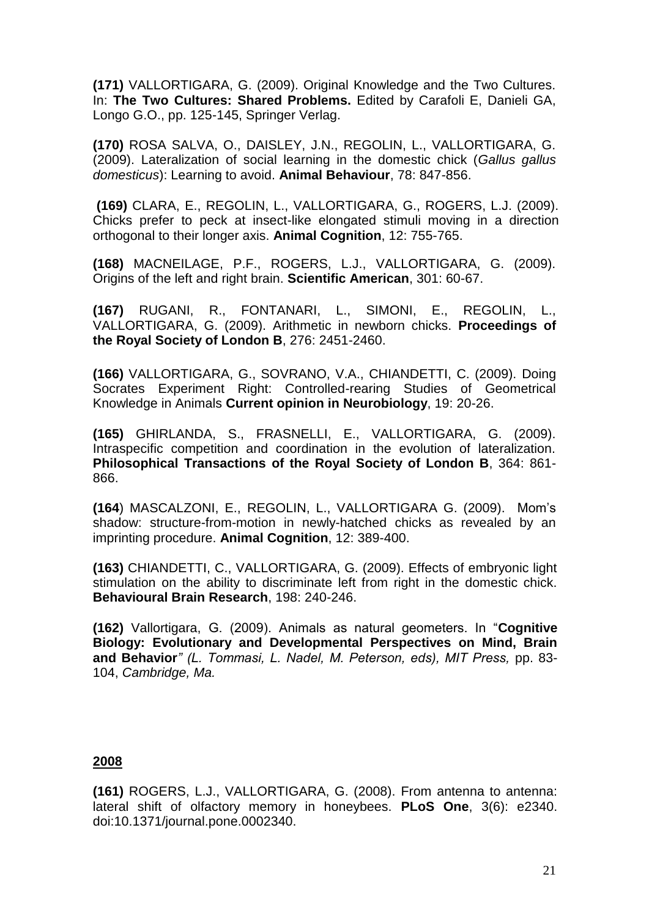**(171)** VALLORTIGARA, G. (2009). Original Knowledge and the Two Cultures. In: **The Two Cultures: Shared Problems.** Edited by Carafoli E, Danieli GA, Longo G.O., pp. 125-145, Springer Verlag.

**(170)** ROSA SALVA, O., DAISLEY, J.N., REGOLIN, L., VALLORTIGARA, G. (2009). Lateralization of social learning in the domestic chick (*Gallus gallus domesticus*): Learning to avoid. **Animal Behaviour**, 78: 847-856.

**(169)** CLARA, E., REGOLIN, L., VALLORTIGARA, G., ROGERS, L.J. (2009). Chicks prefer to peck at insect-like elongated stimuli moving in a direction orthogonal to their longer axis. **Animal Cognition**, 12: 755-765.

**(168)** MACNEILAGE, P.F., ROGERS, L.J., VALLORTIGARA, G. (2009). Origins of the left and right brain. **Scientific American**, 301: 60-67.

**(167)** RUGANI, R., FONTANARI, L., SIMONI, E., REGOLIN, L., VALLORTIGARA, G. (2009). Arithmetic in newborn chicks. **Proceedings of the Royal Society of London B**, 276: 2451-2460.

**(166)** VALLORTIGARA, G., SOVRANO, V.A., CHIANDETTI, C. (2009). Doing Socrates Experiment Right: Controlled-rearing Studies of Geometrical Knowledge in Animals **Current opinion in Neurobiology**, 19: 20-26.

**(165)** GHIRLANDA, S., FRASNELLI, E., VALLORTIGARA, G. (2009). Intraspecific competition and coordination in the evolution of lateralization. **Philosophical Transactions of the Royal Society of London B**, 364: 861- 866.

**(164**) MASCALZONI, E., REGOLIN, L., VALLORTIGARA G. (2009). Mom's shadow: structure-from-motion in newly-hatched chicks as revealed by an imprinting procedure. **Animal Cognition**, 12: 389-400.

**(163)** CHIANDETTI, C., VALLORTIGARA, G. (2009). Effects of embryonic light stimulation on the ability to discriminate left from right in the domestic chick. **Behavioural Brain Research**, 198: 240-246.

**(162)** Vallortigara, G. (2009). Animals as natural geometers. In "**Cognitive Biology: Evolutionary and Developmental Perspectives on Mind, Brain and Behavior***" (L. Tommasi, L. Nadel, M. Peterson, eds), MIT Press,* pp. 83- 104, *Cambridge, Ma.*

#### **2008**

**(161)** ROGERS, L.J., VALLORTIGARA, G. (2008). From antenna to antenna: lateral shift of olfactory memory in honeybees. **PLoS One**, 3(6): e2340. doi:10.1371/journal.pone.0002340.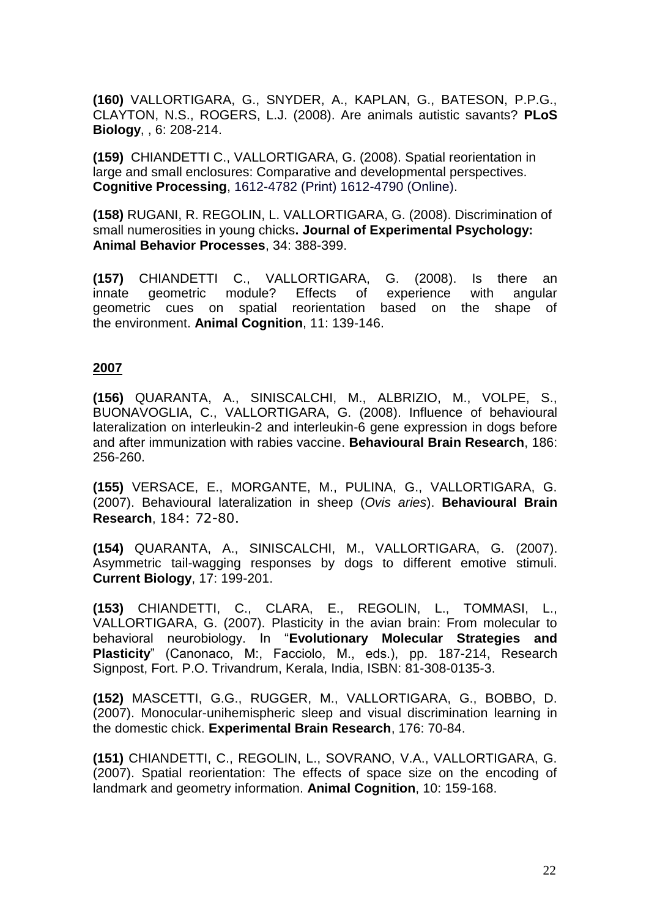**(160)** VALLORTIGARA, G., SNYDER, A., KAPLAN, G., BATESON, P.P.G., CLAYTON, N.S., ROGERS, L.J. (2008). Are animals autistic savants? **PLoS Biology**, , 6: 208-214.

**(159)** CHIANDETTI C., VALLORTIGARA, G. (2008). Spatial reorientation in large and small enclosures: Comparative and developmental perspectives. **Cognitive Processing**, 1612-4782 (Print) 1612-4790 (Online).

**(158)** RUGANI, R. REGOLIN, L. VALLORTIGARA, G. (2008). Discrimination of small numerosities in young chicks**. Journal of Experimental Psychology: Animal Behavior Processes**, 34: 388-399.

**(157)** CHIANDETTI C., VALLORTIGARA, G. (2008). Is there an innate geometric module? Effects of experience with angular geometric cues on spatial reorientation based on the shape of the environment. **Animal Cognition**, 11: 139-146.

#### **2007**

**(156)** QUARANTA, A., SINISCALCHI, M., ALBRIZIO, M., VOLPE, S., BUONAVOGLIA, C., VALLORTIGARA, G. (2008). Influence of behavioural lateralization on interleukin-2 and interleukin-6 gene expression in dogs before and after immunization with rabies vaccine. **Behavioural Brain Research**, 186: 256-260.

**(155)** VERSACE, E., MORGANTE, M., PULINA, G., VALLORTIGARA, G. (2007). Behavioural lateralization in sheep (*Ovis aries*). **Behavioural Brain Research**, 184: 72-80.

**(154)** QUARANTA, A., SINISCALCHI, M., VALLORTIGARA, G. (2007). Asymmetric tail-wagging responses by dogs to different emotive stimuli. **Current Biology**, 17: 199-201.

**(153)** CHIANDETTI, C., CLARA, E., REGOLIN, L., TOMMASI, L., VALLORTIGARA, G. (2007). Plasticity in the avian brain: From molecular to behavioral neurobiology. In "**Evolutionary Molecular Strategies and**  Plasticity" (Canonaco, M:, Facciolo, M., eds.), pp. 187-214, Research Signpost, Fort. P.O. Trivandrum, Kerala, India, ISBN: 81-308-0135-3.

**(152)** MASCETTI, G.G., RUGGER, M., VALLORTIGARA, G., BOBBO, D. (2007). Monocular-unihemispheric sleep and visual discrimination learning in the domestic chick. **Experimental Brain Research**, 176: 70-84.

**(151)** CHIANDETTI, C., REGOLIN, L., SOVRANO, V.A., VALLORTIGARA, G. (2007). Spatial reorientation: The effects of space size on the encoding of landmark and geometry information. **Animal Cognition**, 10: 159-168.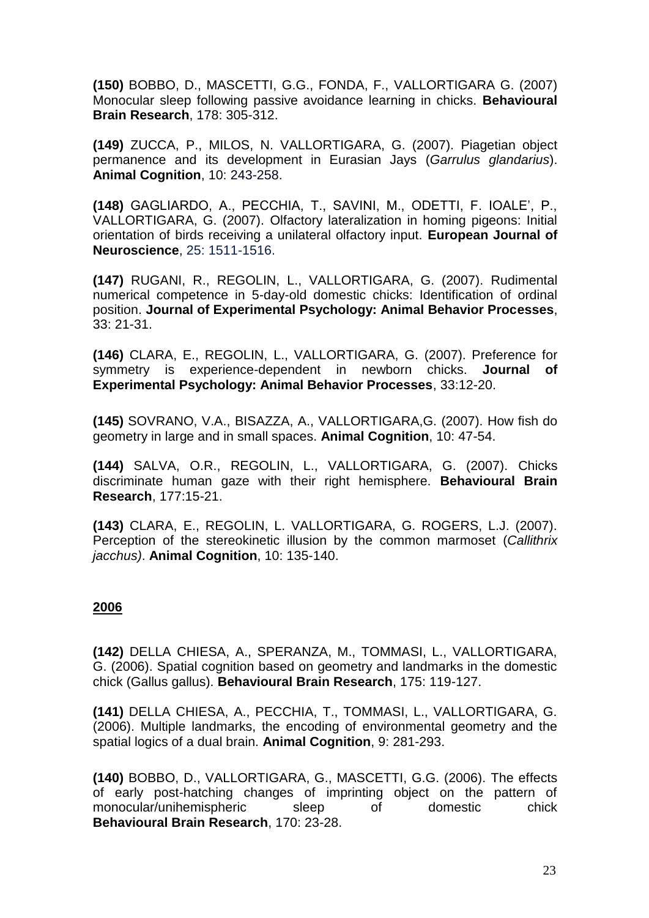**(150)** BOBBO, D., MASCETTI, G.G., FONDA, F., VALLORTIGARA G. (2007) Monocular sleep following passive avoidance learning in chicks. **Behavioural Brain Research**, 178: 305-312.

**(149)** ZUCCA, P., MILOS, N. VALLORTIGARA, G. (2007). Piagetian object permanence and its development in Eurasian Jays (*Garrulus glandarius*). **Animal Cognition**, 10: 243-258.

**(148)** GAGLIARDO, A., PECCHIA, T., SAVINI, M., ODETTI, F. IOALE', P., VALLORTIGARA, G. (2007). Olfactory lateralization in homing pigeons: Initial orientation of birds receiving a unilateral olfactory input. **European Journal of Neuroscience**, 25: 1511-1516.

**(147)** RUGANI, R., REGOLIN, L., VALLORTIGARA, G. (2007). Rudimental numerical competence in 5-day-old domestic chicks: Identification of ordinal position. **Journal of Experimental Psychology: Animal Behavior Processes**, 33: 21-31.

**(146)** CLARA, E., REGOLIN, L., VALLORTIGARA, G. (2007). Preference for symmetry is experience-dependent in newborn chicks. **Journal of Experimental Psychology: Animal Behavior Processes**, 33:12-20.

**(145)** SOVRANO, V.A., BISAZZA, A., VALLORTIGARA,G. (2007). How fish do geometry in large and in small spaces. **Animal Cognition**, 10: 47-54.

**(144)** SALVA, O.R., REGOLIN, L., VALLORTIGARA, G. (2007). Chicks discriminate human gaze with their right hemisphere. **Behavioural Brain Research**, 177:15-21.

**(143)** CLARA, E., REGOLIN, L. VALLORTIGARA, G. ROGERS, L.J. (2007). Perception of the stereokinetic illusion by the common marmoset (*Callithrix jacchus)*. **Animal Cognition**, 10: 135-140.

#### **2006**

**(142)** DELLA CHIESA, A., SPERANZA, M., TOMMASI, L., VALLORTIGARA, G. (2006). Spatial cognition based on geometry and landmarks in the domestic chick (Gallus gallus). **Behavioural Brain Research**, 175: 119-127.

**(141)** DELLA CHIESA, A., PECCHIA, T., TOMMASI, L., VALLORTIGARA, G. (2006). Multiple landmarks, the encoding of environmental geometry and the spatial logics of a dual brain. **Animal Cognition**, 9: 281-293.

**(140)** BOBBO, D., VALLORTIGARA, G., MASCETTI, G.G. (2006). The effects of early post-hatching changes of imprinting object on the pattern of monocular/unihemispheric sleep of domestic chick **Behavioural Brain Research**, 170: 23-28.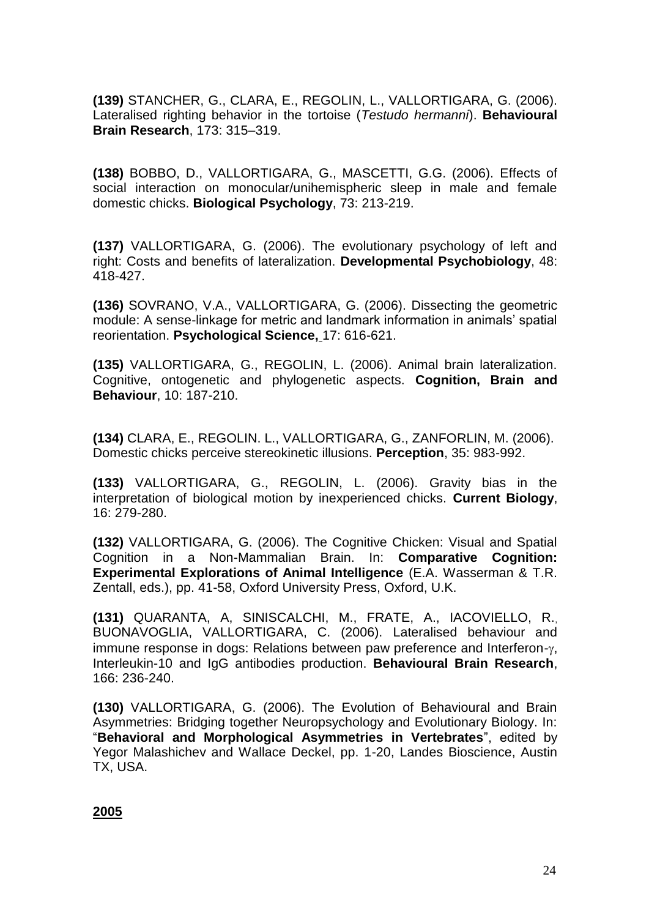**(139)** STANCHER, G., CLARA, E., REGOLIN, L., VALLORTIGARA, G. (2006). Lateralised righting behavior in the tortoise (*Testudo hermanni*). **Behavioural Brain Research**, 173: 315–319.

**(138)** BOBBO, D., VALLORTIGARA, G., MASCETTI, G.G. (2006). Effects of social interaction on monocular/unihemispheric sleep in male and female domestic chicks. **Biological Psychology**, 73: 213-219.

**(137)** VALLORTIGARA, G. (2006). The evolutionary psychology of left and right: Costs and benefits of lateralization. **Developmental Psychobiology**, 48: 418-427.

**(136)** SOVRANO, V.A., VALLORTIGARA, G. (2006). Dissecting the geometric module: A sense-linkage for metric and landmark information in animals' spatial reorientation. **Psychological Science,** 17: 616-621.

**(135)** VALLORTIGARA, G., REGOLIN, L. (2006). Animal brain lateralization. Cognitive, ontogenetic and phylogenetic aspects. **Cognition, Brain and Behaviour**, 10: 187-210.

**(134)** CLARA, E., REGOLIN. L., VALLORTIGARA, G., ZANFORLIN, M. (2006). Domestic chicks perceive stereokinetic illusions. **Perception**, 35: 983-992.

**(133)** VALLORTIGARA, G., REGOLIN, L. (2006). Gravity bias in the interpretation of biological motion by inexperienced chicks. **Current Biology**, 16: 279-280.

**(132)** VALLORTIGARA, G. (2006). The Cognitive Chicken: Visual and Spatial Cognition in a Non-Mammalian Brain. In: **Comparative Cognition: Experimental Explorations of Animal Intelligence** (E.A. Wasserman & T.R. Zentall, eds.), pp. 41-58, Oxford University Press, Oxford, U.K.

**(131)** QUARANTA, A, SINISCALCHI, M., FRATE, A., IACOVIELLO, R., BUONAVOGLIA, VALLORTIGARA, C. (2006). Lateralised behaviour and immune response in dogs: Relations between paw preference and Interferon- $\gamma$ , Interleukin-10 and IgG antibodies production. **Behavioural Brain Research**, 166: 236-240.

**(130)** VALLORTIGARA, G. (2006). The Evolution of Behavioural and Brain Asymmetries: Bridging together Neuropsychology and Evolutionary Biology. In: "**Behavioral and Morphological Asymmetries in Vertebrates**", edited by Yegor Malashichev and Wallace Deckel, pp. 1-20, Landes Bioscience, Austin TX, USA.

**2005**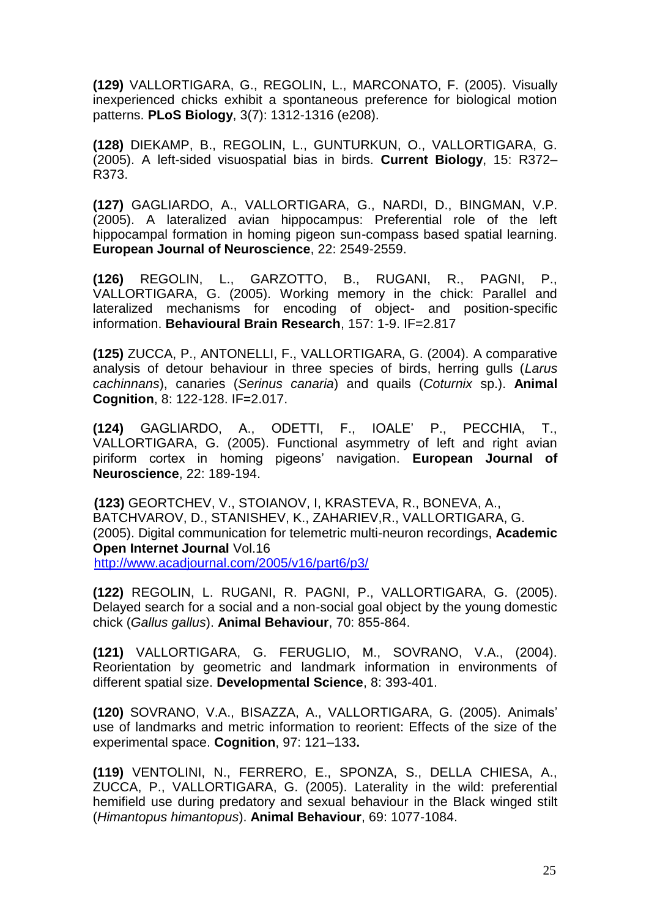**(129)** VALLORTIGARA, G., REGOLIN, L., MARCONATO, F. (2005). Visually inexperienced chicks exhibit a spontaneous preference for biological motion patterns. **PLoS Biology**, 3(7): 1312-1316 (e208).

**(128)** DIEKAMP, B., REGOLIN, L., GUNTURKUN, O., VALLORTIGARA, G. (2005). A left-sided visuospatial bias in birds. **Current Biology**, 15: R372– R373.

**(127)** GAGLIARDO, A., VALLORTIGARA, G., NARDI, D., BINGMAN, V.P. (2005). A lateralized avian hippocampus: Preferential role of the left hippocampal formation in homing pigeon sun-compass based spatial learning. **European Journal of Neuroscience**, 22: 2549-2559.

**(126)** REGOLIN, L., GARZOTTO, B., RUGANI, R., PAGNI, P., VALLORTIGARA, G. (2005). Working memory in the chick: Parallel and lateralized mechanisms for encoding of object- and position-specific information. **Behavioural Brain Research**, 157: 1-9. IF=2.817

**(125)** ZUCCA, P., ANTONELLI, F., VALLORTIGARA, G. (2004). A comparative analysis of detour behaviour in three species of birds, herring gulls (*Larus cachinnans*), canaries (*Serinus canaria*) and quails (*Coturnix* sp.). **Animal Cognition**, 8: 122-128. IF=2.017.

**(124)** GAGLIARDO, A., ODETTI, F., IOALE' P., PECCHIA, T., VALLORTIGARA, G. (2005). Functional asymmetry of left and right avian piriform cortex in homing pigeons' navigation. **European Journal of Neuroscience**, 22: 189-194.

**(123)** GEORTCHEV, V., STOIANOV, I, KRASTEVA, R., BONEVA, A., BATCHVAROV, D., STANISHEV, K., ZAHARIEV,R., VALLORTIGARA, G. (2005). Digital communication for telemetric multi-neuron recordings, **Academic Open Internet Journal** Vol.16 <http://www.acadjournal.com/2005/v16/part6/p3/>

**(122)** REGOLIN, L. RUGANI, R. PAGNI, P., VALLORTIGARA, G. (2005). Delayed search for a social and a non-social goal object by the young domestic chick (*Gallus gallus*). **Animal Behaviour**, 70: 855-864.

**(121)** VALLORTIGARA, G. FERUGLIO, M., SOVRANO, V.A., (2004). Reorientation by geometric and landmark information in environments of different spatial size. **Developmental Science**, 8: 393-401.

**(120)** SOVRANO, V.A., BISAZZA, A., VALLORTIGARA, G. (2005). Animals' use of landmarks and metric information to reorient: Effects of the size of the experimental space. **Cognition**, 97: 121–133**.**

**(119)** VENTOLINI, N., FERRERO, E., SPONZA, S., DELLA CHIESA, A., ZUCCA, P., VALLORTIGARA, G. (2005). Laterality in the wild: preferential hemifield use during predatory and sexual behaviour in the Black winged stilt (*Himantopus himantopus*). **Animal Behaviour**, 69: 1077-1084.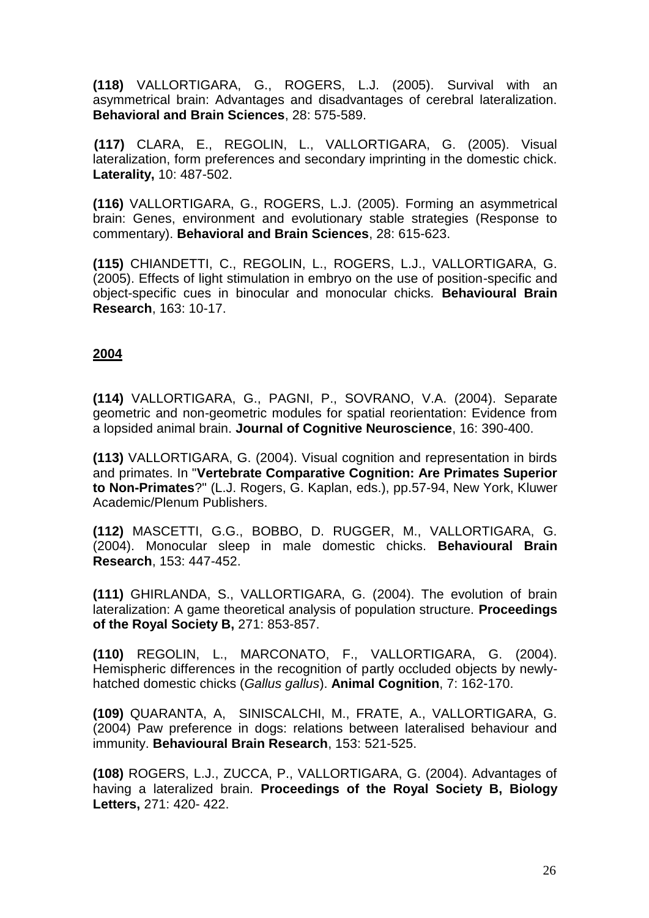**(118)** VALLORTIGARA, G., ROGERS, L.J. (2005). Survival with an asymmetrical brain: Advantages and disadvantages of cerebral lateralization. **Behavioral and Brain Sciences**, 28: 575-589.

**(117)** CLARA, E., REGOLIN, L., VALLORTIGARA, G. (2005). Visual lateralization, form preferences and secondary imprinting in the domestic chick. **Laterality,** 10: 487-502.

**(116)** VALLORTIGARA, G., ROGERS, L.J. (2005). Forming an asymmetrical brain: Genes, environment and evolutionary stable strategies (Response to commentary). **Behavioral and Brain Sciences**, 28: 615-623.

**(115)** CHIANDETTI, C., REGOLIN, L., ROGERS, L.J., VALLORTIGARA, G. (2005). Effects of light stimulation in embryo on the use of position-specific and object-specific cues in binocular and monocular chicks*.* **Behavioural Brain Research**, 163: 10-17.

## **2004**

**(114)** VALLORTIGARA, G., PAGNI, P., SOVRANO, V.A. (2004). Separate geometric and non-geometric modules for spatial reorientation: Evidence from a lopsided animal brain. **Journal of Cognitive Neuroscience**, 16: 390-400.

**(113)** VALLORTIGARA, G. (2004). Visual cognition and representation in birds and primates. In "**Vertebrate Comparative Cognition: Are Primates Superior to Non-Primates**?" (L.J. Rogers, G. Kaplan, eds.), pp.57-94, New York, Kluwer Academic/Plenum Publishers.

**(112)** MASCETTI, G.G., BOBBO, D. RUGGER, M., VALLORTIGARA, G. (2004). Monocular sleep in male domestic chicks. **Behavioural Brain Research**, 153: 447-452.

**(111)** GHIRLANDA, S., VALLORTIGARA, G. (2004). The evolution of brain lateralization: A game theoretical analysis of population structure. **Proceedings of the Royal Society B,** 271: 853-857.

**(110)** REGOLIN, L., MARCONATO, F., VALLORTIGARA, G. (2004). Hemispheric differences in the recognition of partly occluded objects by newlyhatched domestic chicks (*Gallus gallus*). **Animal Cognition**, 7: 162-170.

**(109)** QUARANTA, A, SINISCALCHI, M., FRATE, A., VALLORTIGARA, G. (2004) Paw preference in dogs: relations between lateralised behaviour and immunity. **Behavioural Brain Research**, 153: 521-525.

**(108)** ROGERS, L.J., ZUCCA, P., VALLORTIGARA, G. (2004). Advantages of having a lateralized brain. **Proceedings of the Royal Society B, Biology Letters,** 271: 420- 422.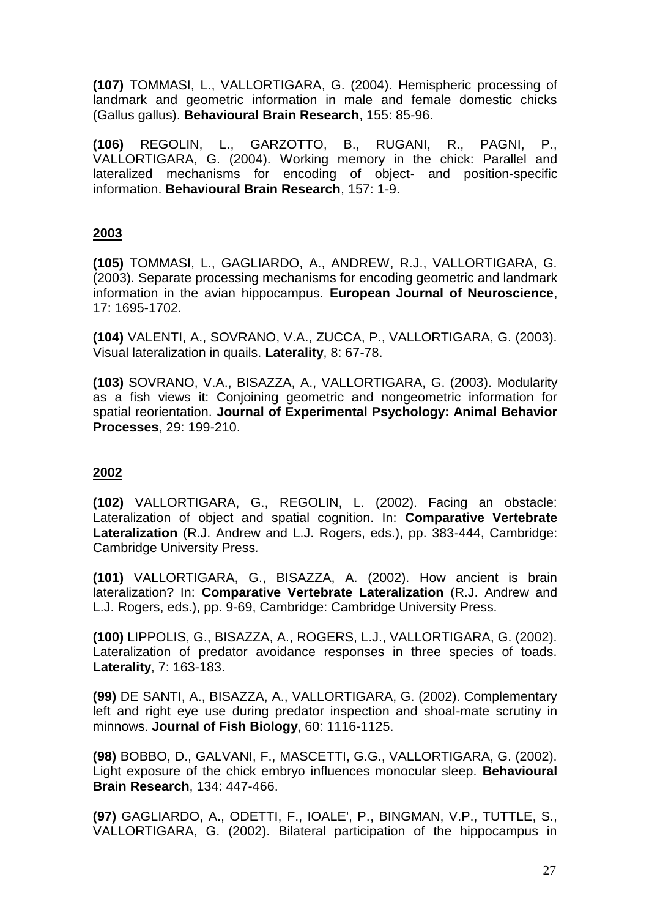**(107)** TOMMASI, L., VALLORTIGARA, G. (2004). Hemispheric processing of landmark and geometric information in male and female domestic chicks (Gallus gallus). **Behavioural Brain Research**, 155: 85-96.

**(106)** REGOLIN, L., GARZOTTO, B., RUGANI, R., PAGNI, P., VALLORTIGARA, G. (2004). Working memory in the chick: Parallel and lateralized mechanisms for encoding of object- and position-specific information. **Behavioural Brain Research**, 157: 1-9.

# **2003**

**(105)** TOMMASI, L., GAGLIARDO, A., ANDREW, R.J., VALLORTIGARA, G. (2003). Separate processing mechanisms for encoding geometric and landmark information in the avian hippocampus. **European Journal of Neuroscience**, 17: 1695-1702.

**(104)** VALENTI, A., SOVRANO, V.A., ZUCCA, P., VALLORTIGARA, G. (2003). Visual lateralization in quails. **Laterality**, 8: 67-78.

**(103)** SOVRANO, V.A., BISAZZA, A., VALLORTIGARA, G. (2003). Modularity as a fish views it: Conjoining geometric and nongeometric information for spatial reorientation. **Journal of Experimental Psychology: Animal Behavior Processes**, 29: 199-210.

## **2002**

**(102)** VALLORTIGARA, G., REGOLIN, L. (2002). Facing an obstacle: Lateralization of object and spatial cognition. In: **Comparative Vertebrate Lateralization** (R.J. Andrew and L.J. Rogers, eds.), pp. 383-444, Cambridge: Cambridge University Press*.*

**(101)** VALLORTIGARA, G., BISAZZA, A. (2002). How ancient is brain lateralization? In: **Comparative Vertebrate Lateralization** (R.J. Andrew and L.J. Rogers, eds.), pp. 9-69, Cambridge: Cambridge University Press.

**(100)** LIPPOLIS, G., BISAZZA, A., ROGERS, L.J., VALLORTIGARA, G. (2002). Lateralization of predator avoidance responses in three species of toads. **Laterality**, 7: 163-183.

**(99)** DE SANTI, A., BISAZZA, A., VALLORTIGARA, G. (2002). Complementary left and right eye use during predator inspection and shoal-mate scrutiny in minnows. **Journal of Fish Biology**, 60: 1116-1125.

**(98)** BOBBO, D., GALVANI, F., MASCETTI, G.G., VALLORTIGARA, G. (2002). Light exposure of the chick embryo influences monocular sleep. **Behavioural Brain Research**, 134: 447-466.

**(97)** GAGLIARDO, A., ODETTI, F., IOALE', P., BINGMAN, V.P., TUTTLE, S., VALLORTIGARA, G. (2002). Bilateral participation of the hippocampus in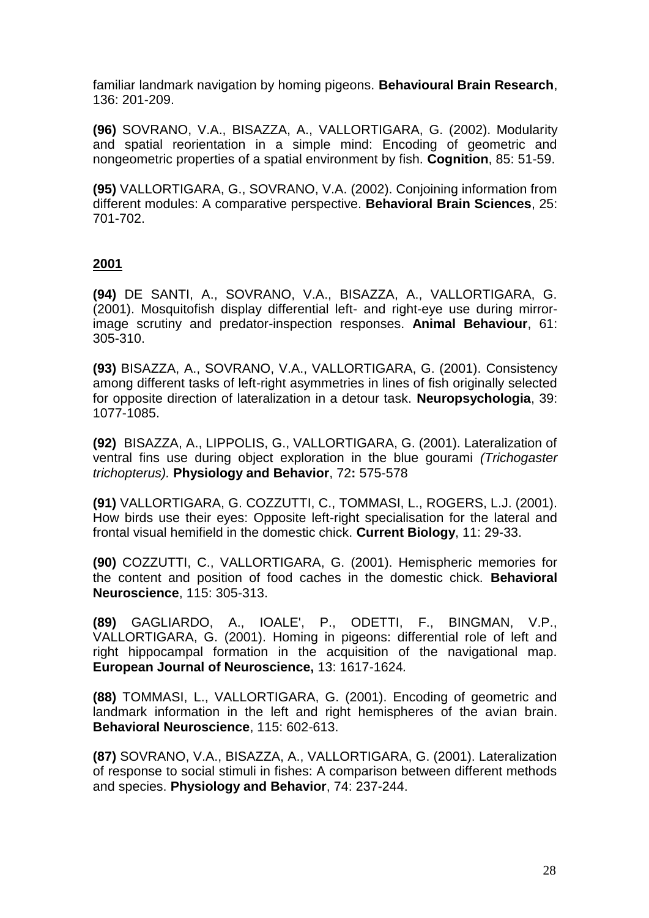familiar landmark navigation by homing pigeons. **Behavioural Brain Research**, 136: 201-209.

**(96)** SOVRANO, V.A., BISAZZA, A., VALLORTIGARA, G. (2002). Modularity and spatial reorientation in a simple mind: Encoding of geometric and nongeometric properties of a spatial environment by fish. **Cognition**, 85: 51-59.

**(95)** VALLORTIGARA, G., SOVRANO, V.A. (2002). Conjoining information from different modules: A comparative perspective. **Behavioral Brain Sciences**, 25: 701-702.

## **2001**

**(94)** DE SANTI, A., SOVRANO, V.A., BISAZZA, A., VALLORTIGARA, G. (2001). Mosquitofish display differential left- and right-eye use during mirrorimage scrutiny and predator-inspection responses. **Animal Behaviour**, 61: 305-310.

**(93)** BISAZZA, A., SOVRANO, V.A., VALLORTIGARA, G. (2001). Consistency among different tasks of left-right asymmetries in lines of fish originally selected for opposite direction of lateralization in a detour task. **Neuropsychologia**, 39: 1077-1085.

**(92)** BISAZZA, A., LIPPOLIS, G., VALLORTIGARA, G. (2001). Lateralization of ventral fins use during object exploration in the blue gourami *(Trichogaster trichopterus).* **Physiology and Behavior**, 72**:** 575-578

**(91)** VALLORTIGARA, G. COZZUTTI, C., TOMMASI, L., ROGERS, L.J. (2001). How birds use their eyes: Opposite left-right specialisation for the lateral and frontal visual hemifield in the domestic chick. **Current Biology**, 11: 29-33.

**(90)** COZZUTTI, C., VALLORTIGARA, G. (2001). Hemispheric memories for the content and position of food caches in the domestic chick. **Behavioral Neuroscience**, 115: 305-313.

**(89)** GAGLIARDO, A., IOALE', P., ODETTI, F., BINGMAN, V.P., VALLORTIGARA, G. (2001). Homing in pigeons: differential role of left and right hippocampal formation in the acquisition of the navigational map. **European Journal of Neuroscience,** 13: 1617-1624*.*

**(88)** TOMMASI, L., VALLORTIGARA, G. (2001). Encoding of geometric and landmark information in the left and right hemispheres of the avian brain. **Behavioral Neuroscience**, 115: 602-613.

**(87)** SOVRANO, V.A., BISAZZA, A., VALLORTIGARA, G. (2001). Lateralization of response to social stimuli in fishes: A comparison between different methods and species. **Physiology and Behavior**, 74: 237-244.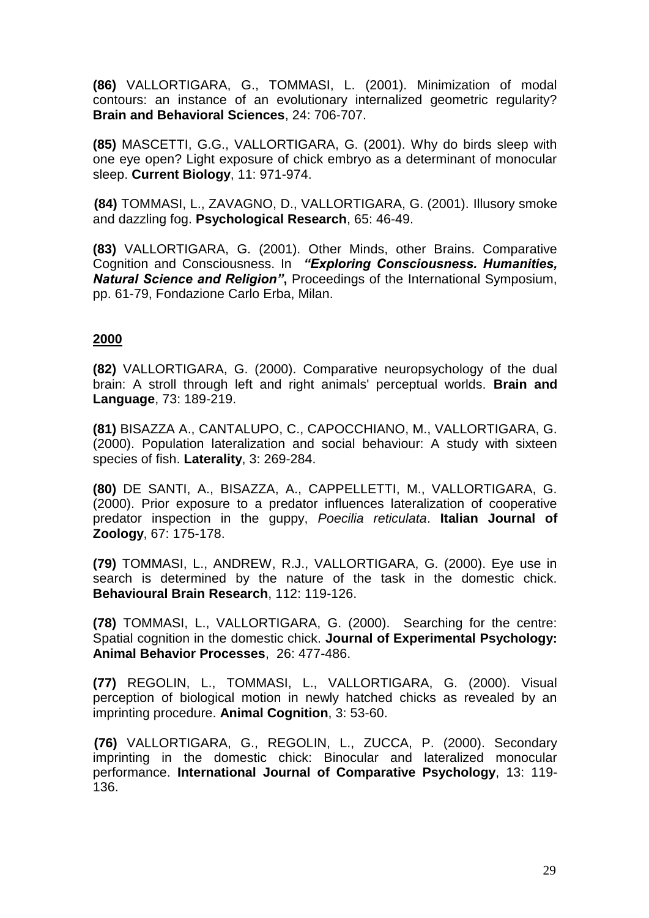**(86)** VALLORTIGARA, G., TOMMASI, L. (2001). Minimization of modal contours: an instance of an evolutionary internalized geometric regularity? **Brain and Behavioral Sciences**, 24: 706-707.

**(85)** MASCETTI, G.G., VALLORTIGARA, G. (2001). Why do birds sleep with one eye open? Light exposure of chick embryo as a determinant of monocular sleep. **Current Biology**, 11: 971-974.

**(84)** TOMMASI, L., ZAVAGNO, D., VALLORTIGARA, G. (2001). Illusory smoke and dazzling fog. **Psychological Research**, 65: 46-49.

**(83)** VALLORTIGARA, G. (2001). Other Minds, other Brains. Comparative Cognition and Consciousness. In *"Exploring Consciousness. Humanities, Natural Science and Religion"***,** Proceedings of the International Symposium, pp. 61-79, Fondazione Carlo Erba, Milan.

### **2000**

**(82)** VALLORTIGARA, G. (2000). Comparative neuropsychology of the dual brain: A stroll through left and right animals' perceptual worlds. **Brain and Language**, 73: 189-219.

**(81)** BISAZZA A., CANTALUPO, C., CAPOCCHIANO, M., VALLORTIGARA, G. (2000). Population lateralization and social behaviour: A study with sixteen species of fish. **Laterality**, 3: 269-284.

**(80)** DE SANTI, A., BISAZZA, A., CAPPELLETTI, M., VALLORTIGARA, G. (2000). Prior exposure to a predator influences lateralization of cooperative predator inspection in the guppy, *Poecilia reticulata*. **Italian Journal of Zoology**, 67: 175-178.

**(79)** TOMMASI, L., ANDREW, R.J., VALLORTIGARA, G. (2000). Eye use in search is determined by the nature of the task in the domestic chick. **Behavioural Brain Research**, 112: 119-126.

**(78)** TOMMASI, L., VALLORTIGARA, G. (2000). Searching for the centre: Spatial cognition in the domestic chick. **Journal of Experimental Psychology: Animal Behavior Processes**, 26: 477-486.

**(77)** REGOLIN, L., TOMMASI, L., VALLORTIGARA, G. (2000). Visual perception of biological motion in newly hatched chicks as revealed by an imprinting procedure. **Animal Cognition**, 3: 53-60.

**(76)** VALLORTIGARA, G., REGOLIN, L., ZUCCA, P. (2000). Secondary imprinting in the domestic chick: Binocular and lateralized monocular performance. **International Journal of Comparative Psychology**, 13: 119- 136.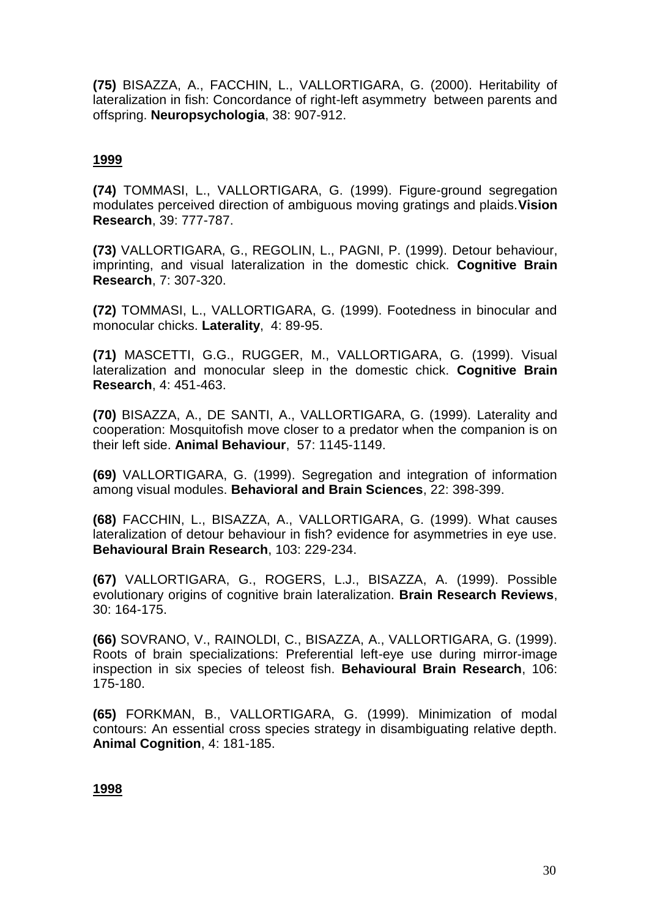**(75)** BISAZZA, A., FACCHIN, L., VALLORTIGARA, G. (2000). Heritability of lateralization in fish: Concordance of right-left asymmetry between parents and offspring. **Neuropsychologia**, 38: 907-912.

# **1999**

**(74)** TOMMASI, L., VALLORTIGARA, G. (1999). Figure-ground segregation modulates perceived direction of ambiguous moving gratings and plaids.**Vision Research**, 39: 777-787.

**(73)** VALLORTIGARA, G., REGOLIN, L., PAGNI, P. (1999). Detour behaviour, imprinting, and visual lateralization in the domestic chick. **Cognitive Brain Research**, 7: 307-320.

**(72)** TOMMASI, L., VALLORTIGARA, G. (1999). Footedness in binocular and monocular chicks. **Laterality**, 4: 89-95.

**(71)** MASCETTI, G.G., RUGGER, M., VALLORTIGARA, G. (1999). Visual lateralization and monocular sleep in the domestic chick. **Cognitive Brain Research**, 4: 451-463.

**(70)** BISAZZA, A., DE SANTI, A., VALLORTIGARA, G. (1999). Laterality and cooperation: Mosquitofish move closer to a predator when the companion is on their left side. **Animal Behaviour**, 57: 1145-1149.

**(69)** VALLORTIGARA, G. (1999). Segregation and integration of information among visual modules. **Behavioral and Brain Sciences**, 22: 398-399.

**(68)** FACCHIN, L., BISAZZA, A., VALLORTIGARA, G. (1999). What causes lateralization of detour behaviour in fish? evidence for asymmetries in eye use. **Behavioural Brain Research**, 103: 229-234.

**(67)** VALLORTIGARA, G., ROGERS, L.J., BISAZZA, A. (1999). Possible evolutionary origins of cognitive brain lateralization. **Brain Research Reviews**, 30: 164-175.

**(66)** SOVRANO, V., RAINOLDI, C., BISAZZA, A., VALLORTIGARA, G. (1999). Roots of brain specializations: Preferential left-eye use during mirror-image inspection in six species of teleost fish. **Behavioural Brain Research**, 106: 175-180.

**(65)** FORKMAN, B., VALLORTIGARA, G. (1999). Minimization of modal contours: An essential cross species strategy in disambiguating relative depth. **Animal Cognition**, 4: 181-185.

**1998**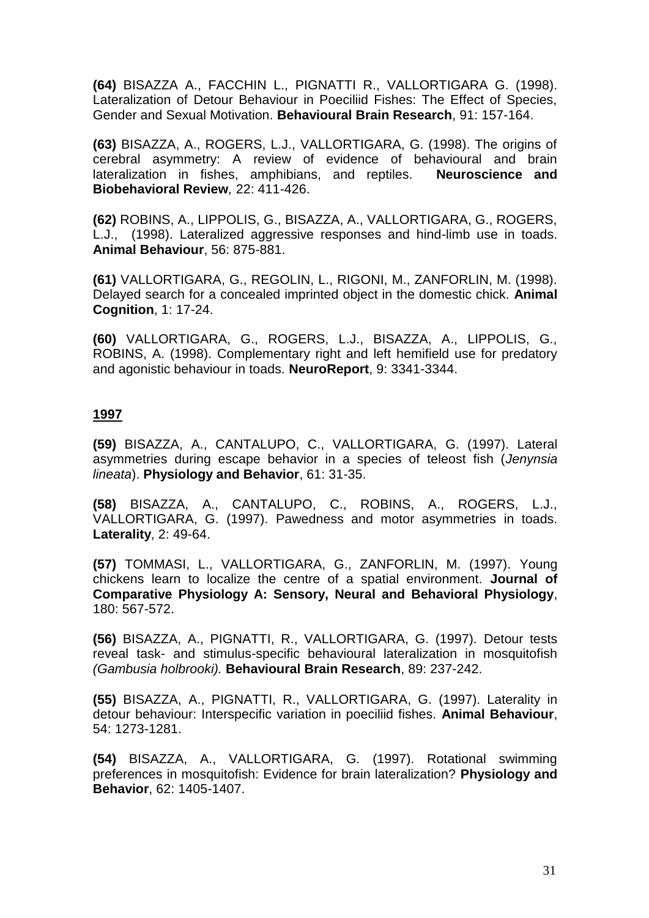**(64)** BISAZZA A., FACCHIN L., PIGNATTI R., VALLORTIGARA G. (1998). Lateralization of Detour Behaviour in Poeciliid Fishes: The Effect of Species, Gender and Sexual Motivation. **Behavioural Brain Research**, 91: 157-164.

**(63)** BISAZZA, A., ROGERS, L.J., VALLORTIGARA, G. (1998). The origins of cerebral asymmetry: A review of evidence of behavioural and brain lateralization in fishes, amphibians, and reptiles. **Neuroscience and Biobehavioral Review***,* 22: 411-426.

**(62)** ROBINS, A., LIPPOLIS, G., BISAZZA, A., VALLORTIGARA, G., ROGERS, L.J., (1998). Lateralized aggressive responses and hind-limb use in toads. **Animal Behaviour**, 56: 875-881.

**(61)** VALLORTIGARA, G., REGOLIN, L., RIGONI, M., ZANFORLIN, M. (1998). Delayed search for a concealed imprinted object in the domestic chick. **Animal Cognition**, 1: 17-24.

**(60)** VALLORTIGARA, G., ROGERS, L.J., BISAZZA, A., LIPPOLIS, G., ROBINS, A. (1998). Complementary right and left hemifield use for predatory and agonistic behaviour in toads. **NeuroReport**, 9: 3341-3344.

### **1997**

**(59)** BISAZZA, A., CANTALUPO, C., VALLORTIGARA, G. (1997). Lateral asymmetries during escape behavior in a species of teleost fish (*Jenynsia lineata*). **Physiology and Behavior**, 61: 31-35.

**(58)** BISAZZA, A., CANTALUPO, C., ROBINS, A., ROGERS, L.J., VALLORTIGARA, G. (1997). Pawedness and motor asymmetries in toads. **Laterality**, 2: 49-64.

**(57)** TOMMASI, L., VALLORTIGARA, G., ZANFORLIN, M. (1997). Young chickens learn to localize the centre of a spatial environment. **Journal of Comparative Physiology A: Sensory, Neural and Behavioral Physiology**, 180: 567-572.

**(56)** BISAZZA, A., PIGNATTI, R., VALLORTIGARA, G. (1997). Detour tests reveal task- and stimulus-specific behavioural lateralization in mosquitofish *(Gambusia holbrooki).* **Behavioural Brain Research**, 89: 237-242.

**(55)** BISAZZA, A., PIGNATTI, R., VALLORTIGARA, G. (1997). Laterality in detour behaviour: Interspecific variation in poeciliid fishes. **Animal Behaviour**, 54: 1273-1281.

**(54)** BISAZZA, A., VALLORTIGARA, G. (1997). Rotational swimming preferences in mosquitofish: Evidence for brain lateralization? **Physiology and Behavior**, 62: 1405-1407.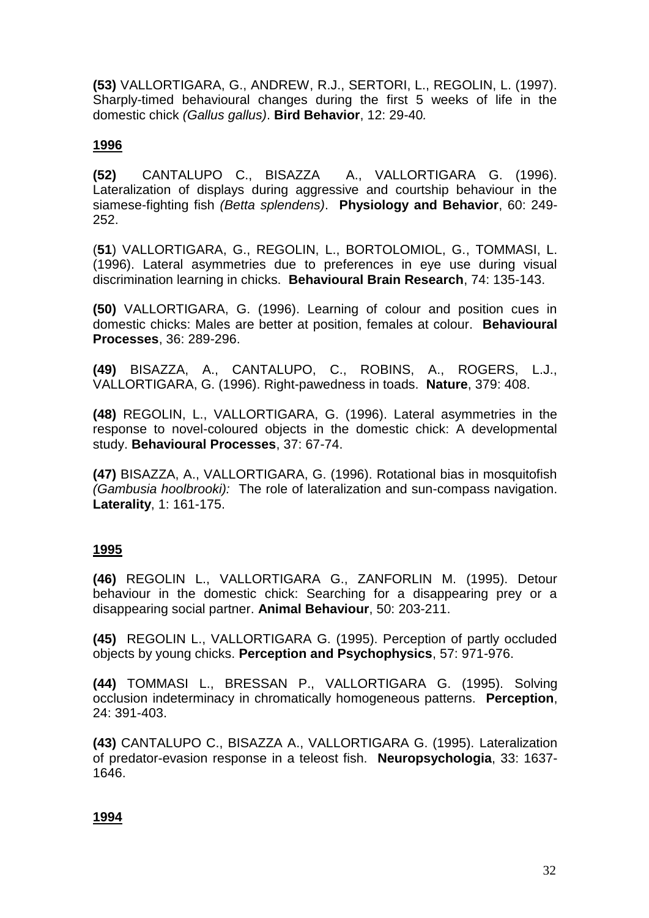**(53)** VALLORTIGARA, G., ANDREW, R.J., SERTORI, L., REGOLIN, L. (1997). Sharply-timed behavioural changes during the first 5 weeks of life in the domestic chick *(Gallus gallus)*. **Bird Behavior**, 12: 29-40*.*

## **1996**

**(52)** CANTALUPO C., BISAZZA A., VALLORTIGARA G. (1996). Lateralization of displays during aggressive and courtship behaviour in the siamese-fighting fish *(Betta splendens)*. **Physiology and Behavior**, 60: 249- 252.

(**51**) VALLORTIGARA, G., REGOLIN, L., BORTOLOMIOL, G., TOMMASI, L. (1996). Lateral asymmetries due to preferences in eye use during visual discrimination learning in chicks. **Behavioural Brain Research**, 74: 135-143.

**(50)** VALLORTIGARA, G. (1996). Learning of colour and position cues in domestic chicks: Males are better at position, females at colour. **Behavioural Processes**, 36: 289-296.

**(49)** BISAZZA, A., CANTALUPO, C., ROBINS, A., ROGERS, L.J., VALLORTIGARA, G. (1996). Right-pawedness in toads. **Nature**, 379: 408.

**(48)** REGOLIN, L., VALLORTIGARA, G. (1996). Lateral asymmetries in the response to novel-coloured objects in the domestic chick: A developmental study. **Behavioural Processes**, 37: 67-74.

**(47)** BISAZZA, A., VALLORTIGARA, G. (1996). Rotational bias in mosquitofish *(Gambusia hoolbrooki):* The role of lateralization and sun-compass navigation. **Laterality**, 1: 161-175.

## **1995**

**(46)** REGOLIN L., VALLORTIGARA G., ZANFORLIN M. (1995). Detour behaviour in the domestic chick: Searching for a disappearing prey or a disappearing social partner. **Animal Behaviour**, 50: 203-211.

**(45)** REGOLIN L., VALLORTIGARA G. (1995). Perception of partly occluded objects by young chicks. **Perception and Psychophysics**, 57: 971-976.

**(44)** TOMMASI L., BRESSAN P., VALLORTIGARA G. (1995). Solving occlusion indeterminacy in chromatically homogeneous patterns. **Perception**, 24: 391-403.

**(43)** CANTALUPO C., BISAZZA A., VALLORTIGARA G. (1995). Lateralization of predator-evasion response in a teleost fish. **Neuropsychologia**, 33: 1637- 1646.

## **1994**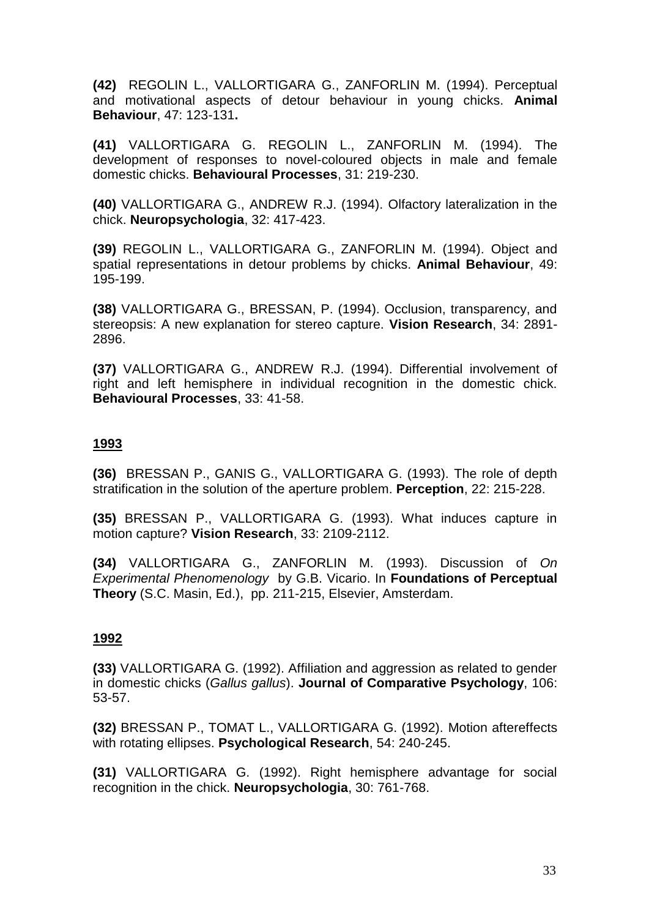**(42)** REGOLIN L., VALLORTIGARA G., ZANFORLIN M. (1994). Perceptual and motivational aspects of detour behaviour in young chicks. **Animal Behaviour**, 47: 123-131**.**

**(41)** VALLORTIGARA G. REGOLIN L., ZANFORLIN M. (1994). The development of responses to novel-coloured objects in male and female domestic chicks. **Behavioural Processes**, 31: 219-230.

**(40)** VALLORTIGARA G., ANDREW R.J. (1994). Olfactory lateralization in the chick. **Neuropsychologia**, 32: 417-423.

**(39)** REGOLIN L., VALLORTIGARA G., ZANFORLIN M. (1994). Object and spatial representations in detour problems by chicks. **Animal Behaviour**, 49: 195-199.

**(38)** VALLORTIGARA G., BRESSAN, P. (1994). Occlusion, transparency, and stereopsis: A new explanation for stereo capture. **Vision Research**, 34: 2891- 2896.

**(37)** VALLORTIGARA G., ANDREW R.J. (1994). Differential involvement of right and left hemisphere in individual recognition in the domestic chick. **Behavioural Processes**, 33: 41-58.

### **1993**

**(36)** BRESSAN P., GANIS G., VALLORTIGARA G. (1993). The role of depth stratification in the solution of the aperture problem. **Perception**, 22: 215-228.

**(35)** BRESSAN P., VALLORTIGARA G. (1993). What induces capture in motion capture? **Vision Research**, 33: 2109-2112.

**(34)** VALLORTIGARA G., ZANFORLIN M. (1993). Discussion of *On Experimental Phenomenology* by G.B. Vicario. In **Foundations of Perceptual Theory** (S.C. Masin, Ed.), pp. 211-215, Elsevier, Amsterdam.

## **1992**

**(33)** VALLORTIGARA G. (1992). Affiliation and aggression as related to gender in domestic chicks (*Gallus gallus*). **Journal of Comparative Psychology**, 106: 53-57.

**(32)** BRESSAN P., TOMAT L., VALLORTIGARA G. (1992). Motion aftereffects with rotating ellipses. **Psychological Research**, 54: 240-245.

**(31)** VALLORTIGARA G. (1992). Right hemisphere advantage for social recognition in the chick. **Neuropsychologia**, 30: 761-768.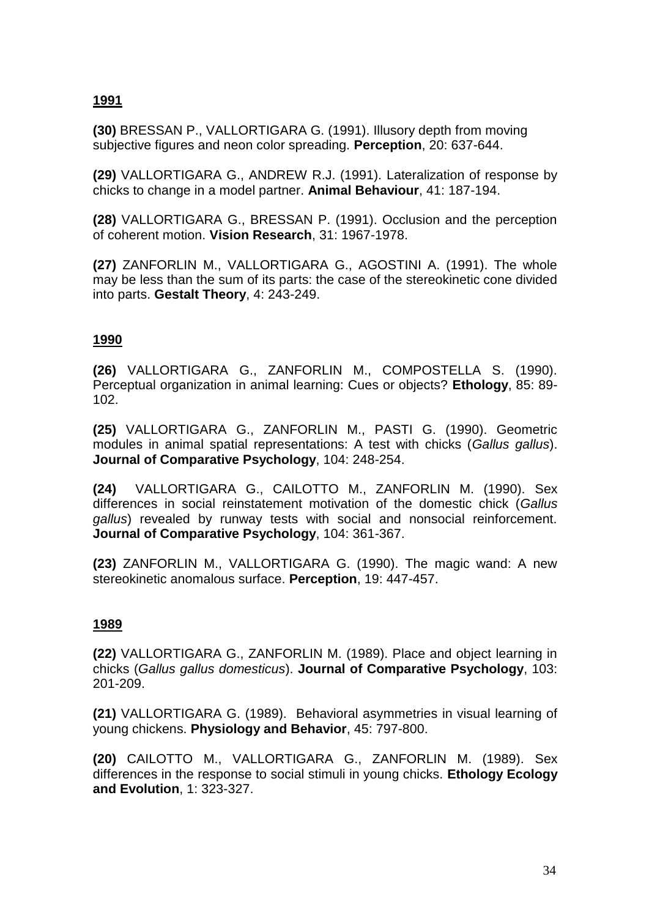# **1991**

**(30)** BRESSAN P., VALLORTIGARA G. (1991). Illusory depth from moving subjective figures and neon color spreading. **Perception**, 20: 637-644.

**(29)** VALLORTIGARA G., ANDREW R.J. (1991). Lateralization of response by chicks to change in a model partner. **Animal Behaviour**, 41: 187-194.

**(28)** VALLORTIGARA G., BRESSAN P. (1991). Occlusion and the perception of coherent motion. **Vision Research**, 31: 1967-1978.

**(27)** ZANFORLIN M., VALLORTIGARA G., AGOSTINI A. (1991). The whole may be less than the sum of its parts: the case of the stereokinetic cone divided into parts. **Gestalt Theory**, 4: 243-249.

## **1990**

**(26)** VALLORTIGARA G., ZANFORLIN M., COMPOSTELLA S. (1990). Perceptual organization in animal learning: Cues or objects? **Ethology**, 85: 89- 102.

**(25)** VALLORTIGARA G., ZANFORLIN M., PASTI G. (1990). Geometric modules in animal spatial representations: A test with chicks (*Gallus gallus*). **Journal of Comparative Psychology**, 104: 248-254.

**(24)** VALLORTIGARA G., CAILOTTO M., ZANFORLIN M. (1990). Sex differences in social reinstatement motivation of the domestic chick (*Gallus gallus*) revealed by runway tests with social and nonsocial reinforcement. **Journal of Comparative Psychology**, 104: 361-367.

**(23)** ZANFORLIN M., VALLORTIGARA G. (1990). The magic wand: A new stereokinetic anomalous surface. **Perception**, 19: 447-457.

#### **1989**

**(22)** VALLORTIGARA G., ZANFORLIN M. (1989). Place and object learning in chicks (*Gallus gallus domesticus*). **Journal of Comparative Psychology**, 103: 201-209.

**(21)** VALLORTIGARA G. (1989). Behavioral asymmetries in visual learning of young chickens. **Physiology and Behavior**, 45: 797-800.

**(20)** CAILOTTO M., VALLORTIGARA G., ZANFORLIN M. (1989). Sex differences in the response to social stimuli in young chicks. **Ethology Ecology and Evolution**, 1: 323-327.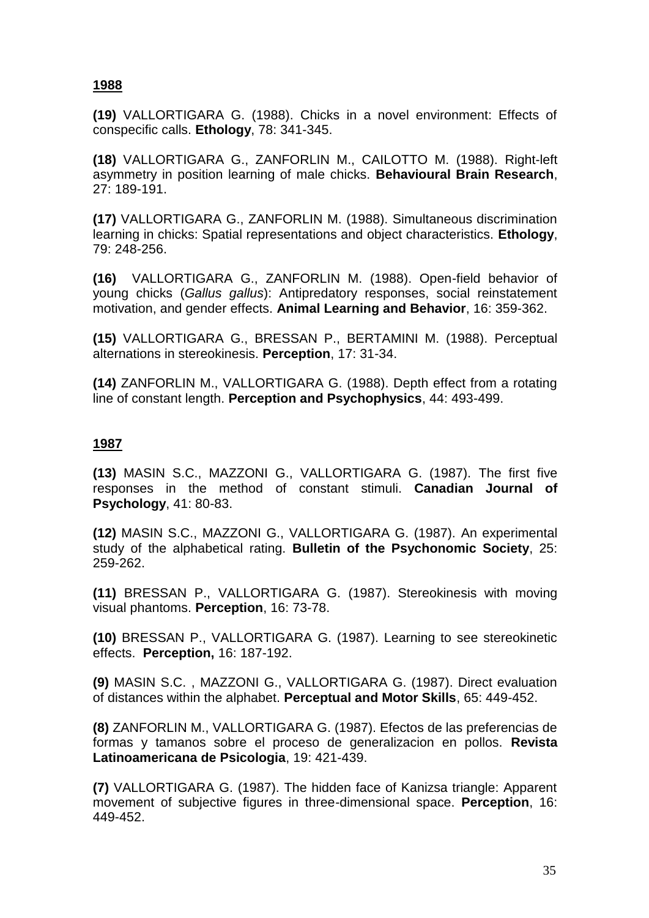## **1988**

**(19)** VALLORTIGARA G. (1988). Chicks in a novel environment: Effects of conspecific calls. **Ethology**, 78: 341-345.

**(18)** VALLORTIGARA G., ZANFORLIN M., CAILOTTO M. (1988). Right-left asymmetry in position learning of male chicks. **Behavioural Brain Research**, 27: 189-191.

**(17)** VALLORTIGARA G., ZANFORLIN M. (1988). Simultaneous discrimination learning in chicks: Spatial representations and object characteristics. **Ethology**, 79: 248-256.

**(16)** VALLORTIGARA G., ZANFORLIN M. (1988). Open-field behavior of young chicks (*Gallus gallus*): Antipredatory responses, social reinstatement motivation, and gender effects. **Animal Learning and Behavior**, 16: 359-362.

**(15)** VALLORTIGARA G., BRESSAN P., BERTAMINI M. (1988). Perceptual alternations in stereokinesis. **Perception**, 17: 31-34.

**(14)** ZANFORLIN M., VALLORTIGARA G. (1988). Depth effect from a rotating line of constant length. **Perception and Psychophysics**, 44: 493-499.

### **1987**

**(13)** MASIN S.C., MAZZONI G., VALLORTIGARA G. (1987). The first five responses in the method of constant stimuli. **Canadian Journal of Psychology**, 41: 80-83.

**(12)** MASIN S.C., MAZZONI G., VALLORTIGARA G. (1987). An experimental study of the alphabetical rating. **Bulletin of the Psychonomic Society**, 25: 259-262.

**(11)** BRESSAN P., VALLORTIGARA G. (1987). Stereokinesis with moving visual phantoms. **Perception**, 16: 73-78.

**(10)** BRESSAN P., VALLORTIGARA G. (1987). Learning to see stereokinetic effects. **Perception,** 16: 187-192.

**(9)** MASIN S.C. , MAZZONI G., VALLORTIGARA G. (1987). Direct evaluation of distances within the alphabet. **Perceptual and Motor Skills**, 65: 449-452.

**(8)** ZANFORLIN M., VALLORTIGARA G. (1987). Efectos de las preferencias de formas y tamanos sobre el proceso de generalizacion en pollos. **Revista Latinoamericana de Psicologia**, 19: 421-439.

**(7)** VALLORTIGARA G. (1987). The hidden face of Kanizsa triangle: Apparent movement of subjective figures in three-dimensional space. **Perception**, 16: 449-452.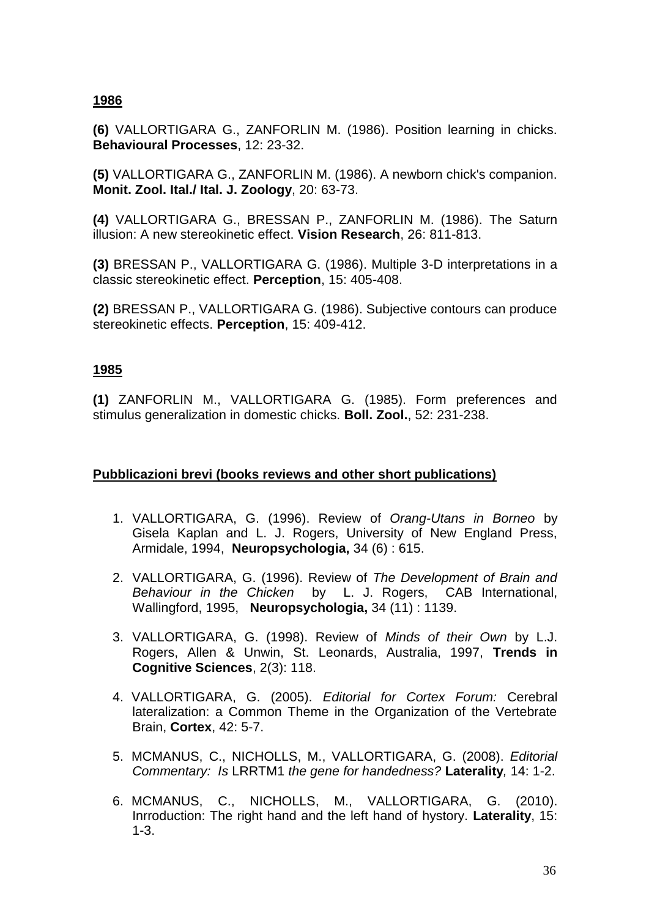## **1986**

**(6)** VALLORTIGARA G., ZANFORLIN M. (1986). Position learning in chicks. **Behavioural Processes**, 12: 23-32.

**(5)** VALLORTIGARA G., ZANFORLIN M. (1986). A newborn chick's companion. **Monit. Zool. Ital./ Ital. J. Zoology**, 20: 63-73.

**(4)** VALLORTIGARA G., BRESSAN P., ZANFORLIN M. (1986). The Saturn illusion: A new stereokinetic effect. **Vision Research**, 26: 811-813.

**(3)** BRESSAN P., VALLORTIGARA G. (1986). Multiple 3-D interpretations in a classic stereokinetic effect. **Perception**, 15: 405-408.

**(2)** BRESSAN P., VALLORTIGARA G. (1986). Subjective contours can produce stereokinetic effects. **Perception**, 15: 409-412.

### **1985**

**(1)** ZANFORLIN M., VALLORTIGARA G. (1985). Form preferences and stimulus generalization in domestic chicks. **Boll. Zool.**, 52: 231-238.

#### **Pubblicazioni brevi (books reviews and other short publications)**

- 1. VALLORTIGARA, G. (1996). Review of *Orang-Utans in Borneo* by Gisela Kaplan and L. J. Rogers, University of New England Press, Armidale, 1994, **Neuropsychologia,** 34 (6) : 615.
- 2. VALLORTIGARA, G. (1996). Review of *The Development of Brain and Behaviour in the Chicken* by L. J. Rogers, CAB International, Wallingford, 1995, **Neuropsychologia,** 34 (11) : 1139.
- 3. VALLORTIGARA, G. (1998). Review of *Minds of their Own* by L.J. Rogers, Allen & Unwin, St. Leonards, Australia, 1997, **Trends in Cognitive Sciences**, 2(3): 118.
- 4. VALLORTIGARA, G. (2005). *Editorial for Cortex Forum:* Cerebral lateralization: a Common Theme in the Organization of the Vertebrate Brain, **Cortex**, 42: 5-7.
- 5. MCMANUS, C., NICHOLLS, M., VALLORTIGARA, G. (2008). *Editorial Commentary: Is* LRRTM1 *the gene for handedness?* **Laterality***,* 14: 1-2.
- 6. MCMANUS, C., NICHOLLS, M., VALLORTIGARA, G. (2010). Inrroduction: The right hand and the left hand of hystory. **Laterality**, 15: 1-3.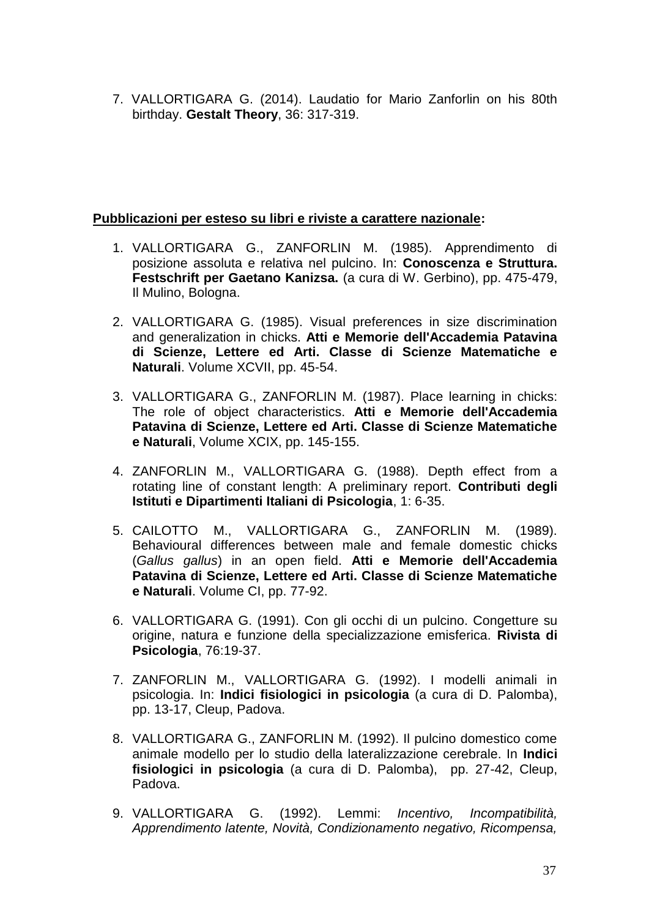7. VALLORTIGARA G. (2014). Laudatio for Mario Zanforlin on his 80th birthday. **Gestalt Theory**, 36: 317-319.

### **Pubblicazioni per esteso su libri e riviste a carattere nazionale:**

- 1. VALLORTIGARA G., ZANFORLIN M. (1985). Apprendimento di posizione assoluta e relativa nel pulcino. In: **Conoscenza e Struttura. Festschrift per Gaetano Kanizsa.** (a cura di W. Gerbino), pp. 475-479, Il Mulino, Bologna.
- 2. VALLORTIGARA G. (1985). Visual preferences in size discrimination and generalization in chicks. **Atti e Memorie dell'Accademia Patavina di Scienze, Lettere ed Arti. Classe di Scienze Matematiche e Naturali**. Volume XCVII, pp. 45-54.
- 3. VALLORTIGARA G., ZANFORLIN M. (1987). Place learning in chicks: The role of object characteristics. **Atti e Memorie dell'Accademia Patavina di Scienze, Lettere ed Arti. Classe di Scienze Matematiche e Naturali**, Volume XCIX, pp. 145-155.
- 4. ZANFORLIN M., VALLORTIGARA G. (1988). Depth effect from a rotating line of constant length: A preliminary report. **Contributi degli Istituti e Dipartimenti Italiani di Psicologia**, 1: 6-35.
- 5. CAILOTTO M., VALLORTIGARA G., ZANFORLIN M. (1989). Behavioural differences between male and female domestic chicks (*Gallus gallus*) in an open field. **Atti e Memorie dell'Accademia Patavina di Scienze, Lettere ed Arti. Classe di Scienze Matematiche e Naturali**. Volume CI, pp. 77-92.
- 6. VALLORTIGARA G. (1991). Con gli occhi di un pulcino. Congetture su origine, natura e funzione della specializzazione emisferica. **Rivista di Psicologia**, 76:19-37.
- 7. ZANFORLIN M., VALLORTIGARA G. (1992). I modelli animali in psicologia. In: **Indici fisiologici in psicologia** (a cura di D. Palomba), pp. 13-17, Cleup, Padova.
- 8. VALLORTIGARA G., ZANFORLIN M. (1992). Il pulcino domestico come animale modello per lo studio della lateralizzazione cerebrale. In **Indici fisiologici in psicologia** (a cura di D. Palomba), pp. 27-42, Cleup, Padova.
- 9. VALLORTIGARA G. (1992). Lemmi: *Incentivo, Incompatibilità, Apprendimento latente, Novità, Condizionamento negativo, Ricompensa,*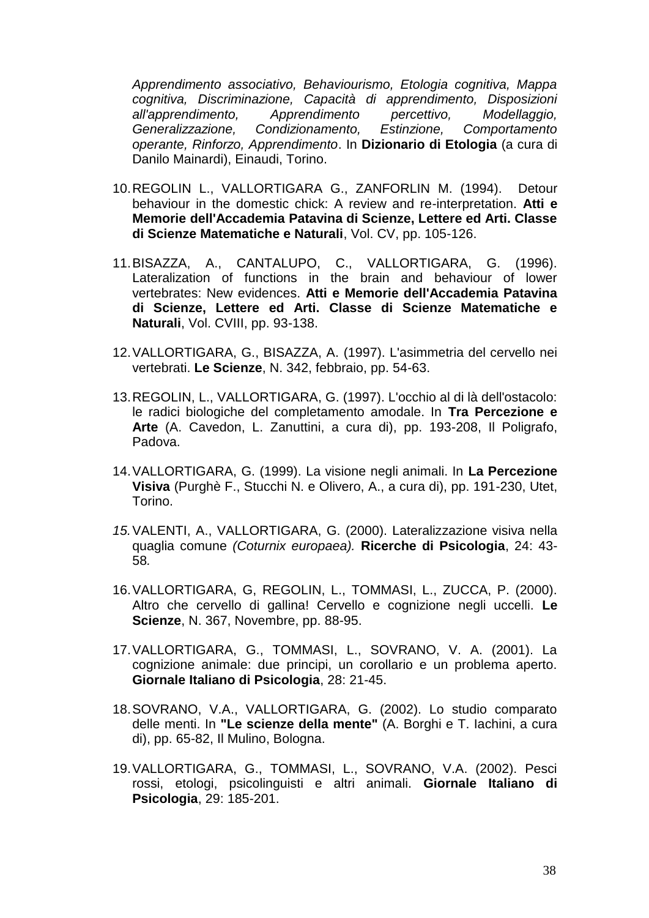*Apprendimento associativo, Behaviourismo, Etologia cognitiva, Mappa cognitiva, Discriminazione, Capacità di apprendimento, Disposizioni all'apprendimento, Apprendimento percettivo, Modellaggio, Generalizzazione, Condizionamento, Estinzione, Comportamento operante, Rinforzo, Apprendimento*. In **Dizionario di Etologia** (a cura di Danilo Mainardi), Einaudi, Torino.

- 10.REGOLIN L., VALLORTIGARA G., ZANFORLIN M. (1994). Detour behaviour in the domestic chick: A review and re-interpretation. **Atti e Memorie dell'Accademia Patavina di Scienze, Lettere ed Arti. Classe di Scienze Matematiche e Naturali**, Vol. CV, pp. 105-126.
- 11.BISAZZA, A., CANTALUPO, C., VALLORTIGARA, G. (1996). Lateralization of functions in the brain and behaviour of lower vertebrates: New evidences. **Atti e Memorie dell'Accademia Patavina di Scienze, Lettere ed Arti. Classe di Scienze Matematiche e Naturali**, Vol. CVIII, pp. 93-138.
- 12.VALLORTIGARA, G., BISAZZA, A. (1997). L'asimmetria del cervello nei vertebrati. **Le Scienze**, N. 342, febbraio, pp. 54-63.
- 13.REGOLIN, L., VALLORTIGARA, G. (1997). L'occhio al di là dell'ostacolo: le radici biologiche del completamento amodale. In **Tra Percezione e Arte** (A. Cavedon, L. Zanuttini, a cura di), pp. 193-208, Il Poligrafo, Padova.
- 14.VALLORTIGARA, G. (1999). La visione negli animali. In **La Percezione Visiva** (Purghè F., Stucchi N. e Olivero, A., a cura di), pp. 191-230, Utet, Torino.
- *15.*VALENTI, A., VALLORTIGARA, G. (2000). Lateralizzazione visiva nella quaglia comune *(Coturnix europaea).* **Ricerche di Psicologia**, 24: 43- 58*.*
- 16.VALLORTIGARA, G, REGOLIN, L., TOMMASI, L., ZUCCA, P. (2000). Altro che cervello di gallina! Cervello e cognizione negli uccelli. **Le Scienze**, N. 367, Novembre, pp. 88-95.
- 17.VALLORTIGARA, G., TOMMASI, L., SOVRANO, V. A. (2001). La cognizione animale: due principi, un corollario e un problema aperto. **Giornale Italiano di Psicologia**, 28: 21-45.
- 18.SOVRANO, V.A., VALLORTIGARA, G. (2002). Lo studio comparato delle menti. In **"Le scienze della mente"** (A. Borghi e T. Iachini, a cura di), pp. 65-82, Il Mulino, Bologna.
- 19.VALLORTIGARA, G., TOMMASI, L., SOVRANO, V.A. (2002). Pesci rossi, etologi, psicolinguisti e altri animali. **Giornale Italiano di Psicologia**, 29: 185-201.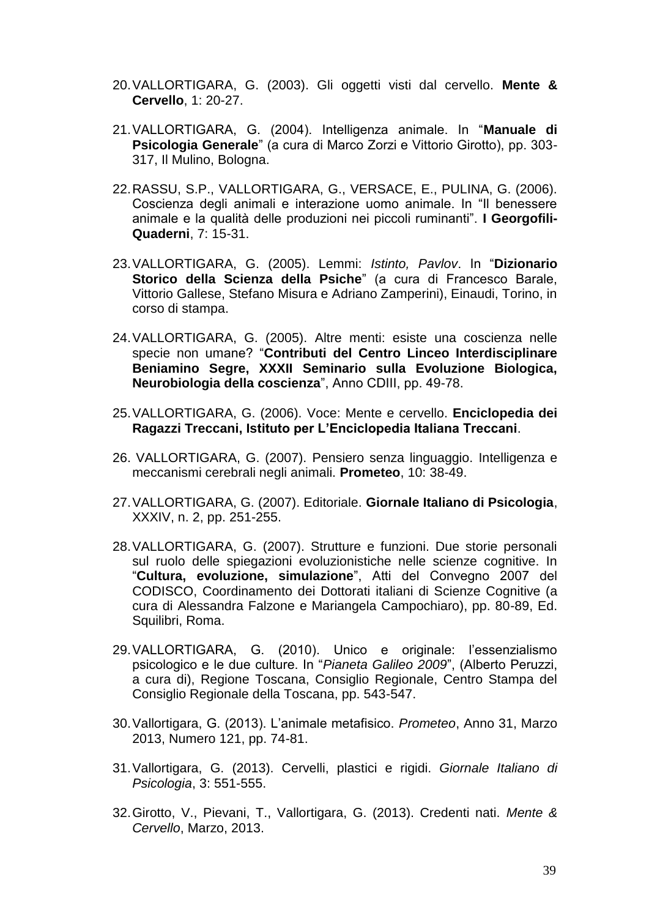- 20.VALLORTIGARA, G. (2003). Gli oggetti visti dal cervello. **Mente & Cervello**, 1: 20-27.
- 21.VALLORTIGARA, G. (2004). Intelligenza animale. In "**Manuale di Psicologia Generale**" (a cura di Marco Zorzi e Vittorio Girotto), pp. 303- 317, Il Mulino, Bologna.
- 22.RASSU, S.P., VALLORTIGARA, G., VERSACE, E., PULINA, G. (2006). Coscienza degli animali e interazione uomo animale. In "Il benessere animale e la qualità delle produzioni nei piccoli ruminanti". **I Georgofili-Quaderni**, 7: 15-31.
- 23.VALLORTIGARA, G. (2005). Lemmi: *Istinto, Pavlov*. In "**Dizionario Storico della Scienza della Psiche**" (a cura di Francesco Barale, Vittorio Gallese, Stefano Misura e Adriano Zamperini), Einaudi, Torino, in corso di stampa.
- 24.VALLORTIGARA, G. (2005). Altre menti: esiste una coscienza nelle specie non umane? "**Contributi del Centro Linceo Interdisciplinare Beniamino Segre, XXXII Seminario sulla Evoluzione Biologica, Neurobiologia della coscienza**", Anno CDIII, pp. 49-78.
- 25.VALLORTIGARA, G. (2006). Voce: Mente e cervello. **Enciclopedia dei Ragazzi Treccani, Istituto per L'Enciclopedia Italiana Treccani**.
- 26. VALLORTIGARA, G. (2007). Pensiero senza linguaggio. Intelligenza e meccanismi cerebrali negli animali. **Prometeo**, 10: 38-49.
- 27.VALLORTIGARA, G. (2007). Editoriale. **Giornale Italiano di Psicologia**, XXXIV, n. 2, pp. 251-255.
- 28.VALLORTIGARA, G. (2007). Strutture e funzioni. Due storie personali sul ruolo delle spiegazioni evoluzionistiche nelle scienze cognitive. In "**Cultura, evoluzione, simulazione**", Atti del Convegno 2007 del CODISCO, Coordinamento dei Dottorati italiani di Scienze Cognitive (a cura di Alessandra Falzone e Mariangela Campochiaro), pp. 80-89, Ed. Squilibri, Roma.
- 29.VALLORTIGARA, G. (2010). Unico e originale: l'essenzialismo psicologico e le due culture. In "*Pianeta Galileo 2009*", (Alberto Peruzzi, a cura di), Regione Toscana, Consiglio Regionale, Centro Stampa del Consiglio Regionale della Toscana, pp. 543-547.
- 30.Vallortigara, G. (2013). L'animale metafisico. *Prometeo*, Anno 31, Marzo 2013, Numero 121, pp. 74-81.
- 31.Vallortigara, G. (2013). Cervelli, plastici e rigidi. *Giornale Italiano di Psicologia*, 3: 551-555.
- 32.Girotto, V., Pievani, T., Vallortigara, G. (2013). Credenti nati. *Mente & Cervello*, Marzo, 2013.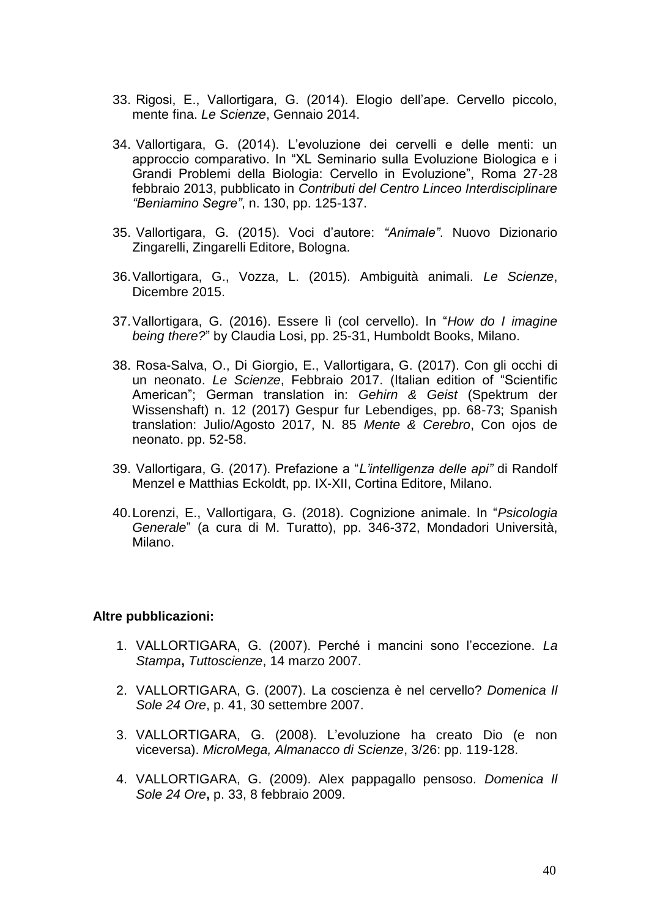- 33. Rigosi, E., Vallortigara, G. (2014). Elogio dell'ape. Cervello piccolo, mente fina. *Le Scienze*, Gennaio 2014.
- 34. Vallortigara, G. (2014). L'evoluzione dei cervelli e delle menti: un approccio comparativo. In "XL Seminario sulla Evoluzione Biologica e i Grandi Problemi della Biologia: Cervello in Evoluzione", Roma 27-28 febbraio 2013, pubblicato in *Contributi del Centro Linceo Interdisciplinare "Beniamino Segre"*, n. 130, pp. 125-137.
- 35. Vallortigara, G. (2015). Voci d'autore: *"Animale"*. Nuovo Dizionario Zingarelli, Zingarelli Editore, Bologna.
- 36.Vallortigara, G., Vozza, L. (2015). Ambiguità animali. *Le Scienze*, Dicembre 2015.
- 37.Vallortigara, G. (2016). Essere lì (col cervello). In "*How do I imagine being there?*" by Claudia Losi, pp. 25-31, Humboldt Books, Milano.
- 38. Rosa-Salva, O., Di Giorgio, E., Vallortigara, G. (2017). Con gli occhi di un neonato. *Le Scienze*, Febbraio 2017. (Italian edition of "Scientific American"; German translation in: *Gehirn & Geist* (Spektrum der Wissenshaft) n. 12 (2017) Gespur fur Lebendiges, pp. 68-73; Spanish translation: Julio/Agosto 2017, N. 85 *Mente & Cerebro*, Con ojos de neonato. pp. 52-58.
- 39. Vallortigara, G. (2017). Prefazione a "*L'intelligenza delle api"* di Randolf Menzel e Matthias Eckoldt, pp. IX-XII, Cortina Editore, Milano.
- 40.Lorenzi, E., Vallortigara, G. (2018). Cognizione animale. In "*Psicologia Generale*" (a cura di M. Turatto), pp. 346-372, Mondadori Università, Milano.

#### **Altre pubblicazioni:**

- 1. VALLORTIGARA, G. (2007). Perché i mancini sono l'eccezione. *La Stampa***,** *Tuttoscienze*, 14 marzo 2007.
- 2. VALLORTIGARA, G. (2007). La coscienza è nel cervello? *Domenica Il Sole 24 Ore*, p. 41, 30 settembre 2007.
- 3. VALLORTIGARA, G. (2008). L'evoluzione ha creato Dio (e non viceversa). *MicroMega, Almanacco di Scienze*, 3/26: pp. 119-128.
- 4. VALLORTIGARA, G. (2009). Alex pappagallo pensoso. *Domenica Il Sole 24 Ore***,** p. 33, 8 febbraio 2009.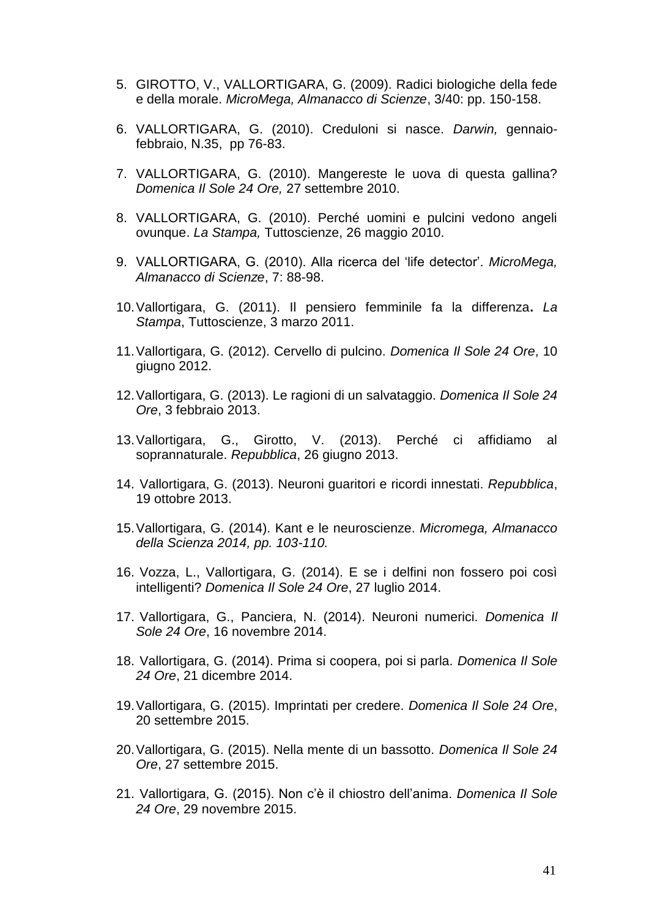- 5. GIROTTO, V., VALLORTIGARA, G. (2009). Radici biologiche della fede e della morale. *MicroMega, Almanacco di Scienze*, 3/40: pp. 150-158.
- 6. VALLORTIGARA, G. (2010). Creduloni si nasce. *Darwin,* gennaiofebbraio, N.35, pp 76-83.
- 7. VALLORTIGARA, G. (2010). Mangereste le uova di questa gallina? *Domenica Il Sole 24 Ore,* 27 settembre 2010.
- 8. VALLORTIGARA, G. (2010). Perché uomini e pulcini vedono angeli ovunque. *La Stampa,* Tuttoscienze, 26 maggio 2010.
- 9. VALLORTIGARA, G. (2010). Alla ricerca del 'life detector'. *MicroMega, Almanacco di Scienze*, 7: 88-98.
- 10.Vallortigara, G. (2011). Il pensiero femminile fa la differenza**.** *La Stampa*, Tuttoscienze, 3 marzo 2011.
- 11.Vallortigara, G. (2012). Cervello di pulcino. *Domenica Il Sole 24 Ore*, 10 giugno 2012.
- 12.Vallortigara, G. (2013). Le ragioni di un salvataggio. *Domenica Il Sole 24 Ore*, 3 febbraio 2013.
- 13.Vallortigara, G., Girotto, V. (2013). Perché ci affidiamo al soprannaturale. *Repubblica*, 26 giugno 2013.
- 14. Vallortigara, G. (2013). Neuroni guaritori e ricordi innestati. *Repubblica*, 19 ottobre 2013.
- 15.Vallortigara, G. (2014). Kant e le neuroscienze. *Micromega, Almanacco della Scienza 2014, pp. 103-110.*
- 16. Vozza, L., Vallortigara, G. (2014). E se i delfini non fossero poi così intelligenti? *Domenica Il Sole 24 Ore*, 27 luglio 2014.
- 17. Vallortigara, G., Panciera, N. (2014). Neuroni numerici. *Domenica Il Sole 24 Ore*, 16 novembre 2014.
- 18. Vallortigara, G. (2014). Prima si coopera, poi si parla. *Domenica Il Sole 24 Ore*, 21 dicembre 2014.
- 19.Vallortigara, G. (2015). Imprintati per credere. *Domenica Il Sole 24 Ore*, 20 settembre 2015.
- 20.Vallortigara, G. (2015). Nella mente di un bassotto. *Domenica Il Sole 24 Ore*, 27 settembre 2015.
- 21. Vallortigara, G. (2015). Non c'è il chiostro dell'anima. *Domenica Il Sole 24 Ore*, 29 novembre 2015.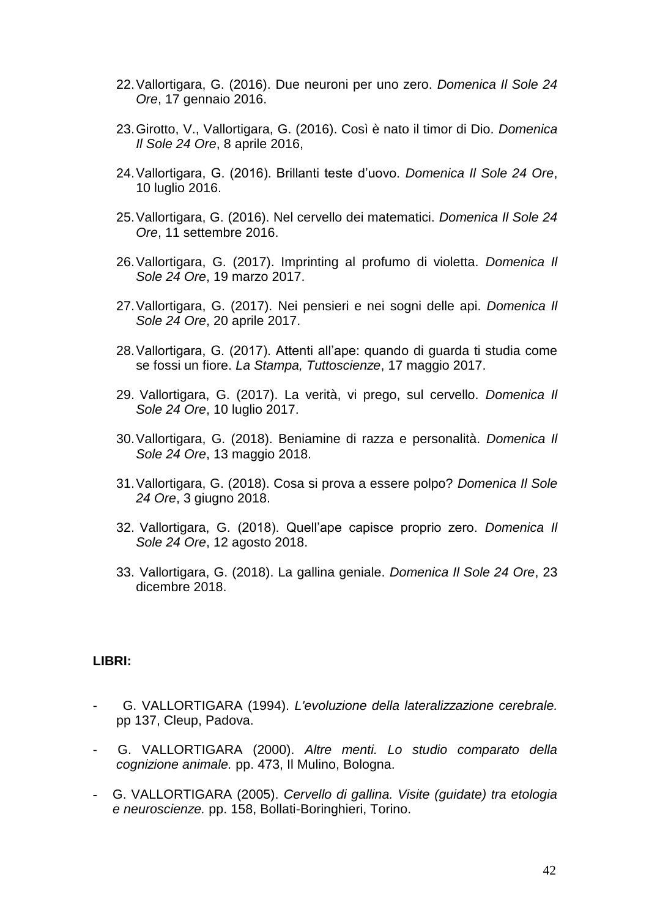- 22.Vallortigara, G. (2016). Due neuroni per uno zero. *Domenica Il Sole 24 Ore*, 17 gennaio 2016.
- 23.Girotto, V., Vallortigara, G. (2016). Così è nato il timor di Dio. *Domenica Il Sole 24 Ore*, 8 aprile 2016,
- 24.Vallortigara, G. (2016). Brillanti teste d'uovo. *Domenica Il Sole 24 Ore*, 10 luglio 2016.
- 25.Vallortigara, G. (2016). Nel cervello dei matematici. *Domenica Il Sole 24 Ore*, 11 settembre 2016.
- 26.Vallortigara, G. (2017). Imprinting al profumo di violetta. *Domenica Il Sole 24 Ore*, 19 marzo 2017.
- 27.Vallortigara, G. (2017). Nei pensieri e nei sogni delle api. *Domenica Il Sole 24 Ore*, 20 aprile 2017.
- 28.Vallortigara, G. (2017). Attenti all'ape: quando di guarda ti studia come se fossi un fiore. *La Stampa, Tuttoscienze*, 17 maggio 2017.
- 29. Vallortigara, G. (2017). La verità, vi prego, sul cervello. *Domenica Il Sole 24 Ore*, 10 luglio 2017.
- 30.Vallortigara, G. (2018). Beniamine di razza e personalità. *Domenica Il Sole 24 Ore*, 13 maggio 2018.
- 31.Vallortigara, G. (2018). Cosa si prova a essere polpo? *Domenica Il Sole 24 Ore*, 3 giugno 2018.
- 32. Vallortigara, G. (2018). Quell'ape capisce proprio zero. *Domenica Il Sole 24 Ore*, 12 agosto 2018.
- 33. Vallortigara, G. (2018). La gallina geniale. *Domenica Il Sole 24 Ore*, 23 dicembre 2018.

#### **LIBRI:**

- G. VALLORTIGARA (1994). *L'evoluzione della lateralizzazione cerebrale.* pp 137, Cleup, Padova.
- G. VALLORTIGARA (2000). *Altre menti. Lo studio comparato della cognizione animale.* pp. 473, Il Mulino, Bologna.
- **-** G. VALLORTIGARA (2005). *Cervello di gallina. Visite (guidate) tra etologia e neuroscienze.* pp. 158, Bollati-Boringhieri, Torino.